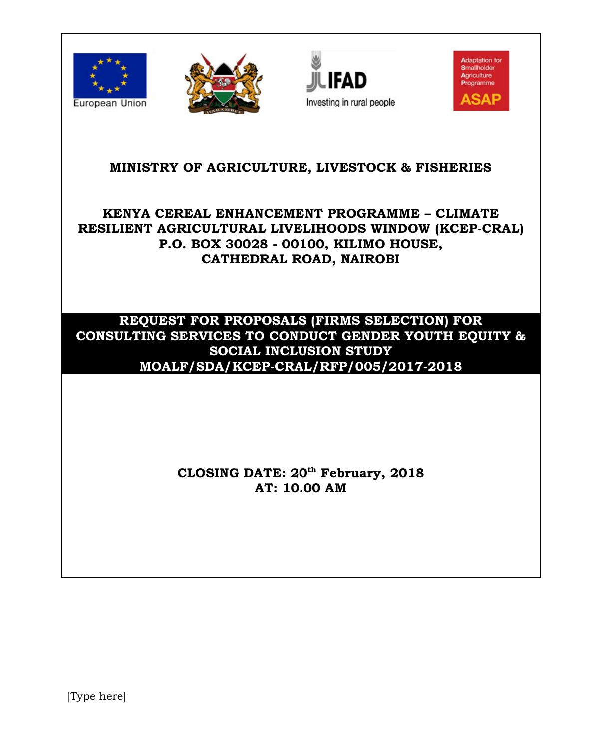







# **MINISTRY OF AGRICULTURE, LIVESTOCK & FISHERIES**

# **KENYA CEREAL ENHANCEMENT PROGRAMME – CLIMATE RESILIENT AGRICULTURAL LIVELIHOODS WINDOW (KCEP-CRAL) P.O. BOX 30028 - 00100, KILIMO HOUSE, CATHEDRAL ROAD, NAIROBI**

# **REQUEST FOR PROPOSALS (FIRMS SELECTION) FOR CONSULTING SERVICES TO CONDUCT GENDER YOUTH EQUITY & SOCIAL INCLUSION STUDY MOALF/SDA/KCEP-CRAL/RFP/005/2017-2018**

# **CLOSING DATE: 20 th February, 2018 AT: 10.00 AM**

[Type here]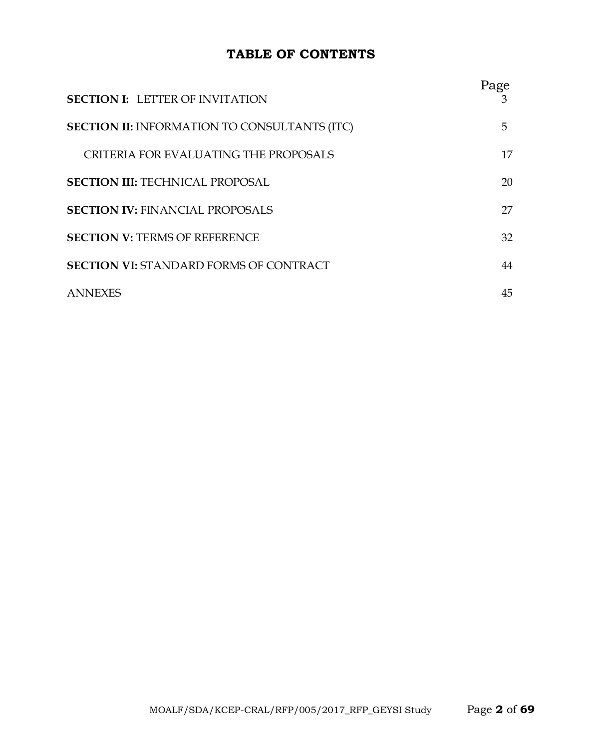# **TABLE OF CONTENTS**

| <b>SECTION I: LETTER OF INVITATION</b>              | Page<br>З |
|-----------------------------------------------------|-----------|
| <b>SECTION II: INFORMATION TO CONSULTANTS (ITC)</b> | 5.        |
| CRITERIA FOR EVALUATING THE PROPOSALS               | 17        |
| <b>SECTION III: TECHNICAL PROPOSAL</b>              | 20        |
| <b>SECTION IV: FINANCIAL PROPOSALS</b>              | 27        |
| <b>SECTION V: TERMS OF REFERENCE</b>                | 32        |
| <b>SECTION VI: STANDARD FORMS OF CONTRACT</b>       | 44        |
| <b>ANNEXES</b>                                      | 45        |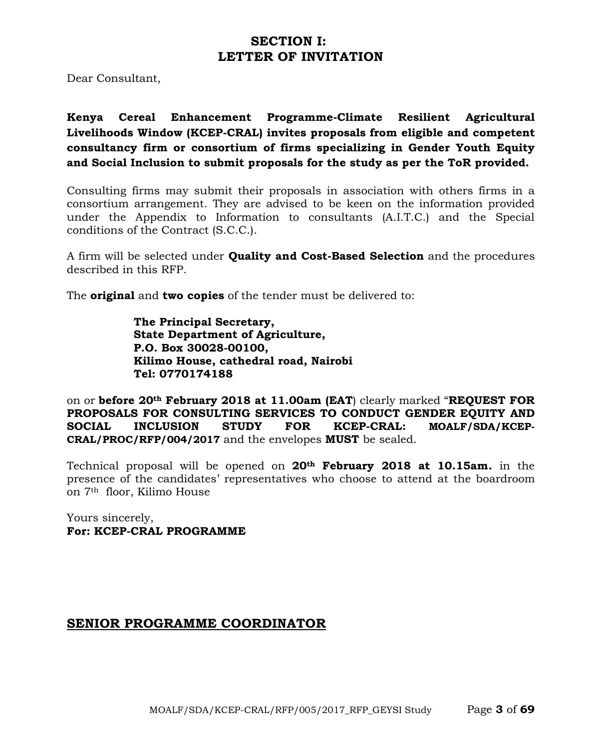# **SECTION I: LETTER OF INVITATION**

Dear Consultant,

**Kenya Cereal Enhancement Programme-Climate Resilient Agricultural Livelihoods Window (KCEP-CRAL) invites proposals from eligible and competent consultancy firm or consortium of firms specializing in Gender Youth Equity and Social Inclusion to submit proposals for the study as per the ToR provided.**

Consulting firms may submit their proposals in association with others firms in a consortium arrangement. They are advised to be keen on the information provided under the Appendix to Information to consultants (A.I.T.C.) and the Special conditions of the Contract (S.C.C.).

A firm will be selected under **Quality and Cost-Based Selection** and the procedures described in this RFP.

The **original** and **two copies** of the tender must be delivered to:

**The Principal Secretary, State Department of Agriculture, P.O. Box 30028-00100, Kilimo House, cathedral road, Nairobi Tel: 0770174188**

on or **before 20th February 2018 at 11.00am (EAT**) clearly marked "**REQUEST FOR PROPOSALS FOR CONSULTING SERVICES TO CONDUCT GENDER EQUITY AND SOCIAL INCLUSION STUDY FOR KCEP-CRAL: MOALF/SDA/KCEP-CRAL/PROC/RFP/004/2017** and the envelopes **MUST** be sealed.

Technical proposal will be opened on **20th February 2018 at 10.15am***.* in the presence of the candidates' representatives who choose to attend at the boardroom on 7th floor, Kilimo House

Yours sincerely, **For: KCEP-CRAL PROGRAMME**

# **SENIOR PROGRAMME COORDINATOR**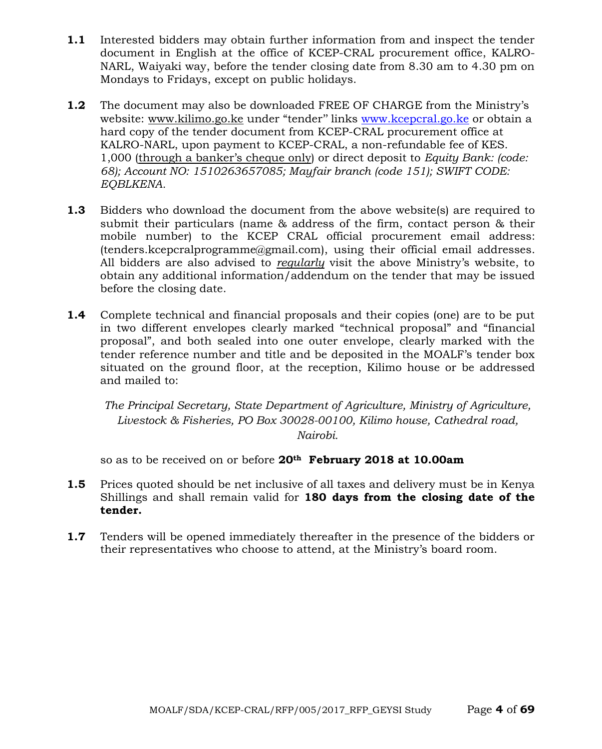- **1.1** Interested bidders may obtain further information from and inspect the tender document in English at the office of KCEP-CRAL procurement office, KALRO-NARL, Waiyaki way, before the tender closing date from 8.30 am to 4.30 pm on Mondays to Fridays, except on public holidays.
- **1.2** The document may also be downloaded FREE OF CHARGE from the Ministry's website: [www.kilimo.go.ke](http://www.kilimo.go.ke/) under "tender" links [www.kcepcral.go.ke](http://www.kcepcral.go.ke/) or obtain a hard copy of the tender document from KCEP-CRAL procurement office at KALRO-NARL, upon payment to KCEP-CRAL, a non-refundable fee of KES. 1,000 (through a banker's cheque only) or direct deposit to *Equity Bank: (code: 68); Account NO: 1510263657085; Mayfair branch (code 151); SWIFT CODE: EQBLKENA.*
- **1.3** Bidders who download the document from the above website(s) are required to submit their particulars (name & address of the firm, contact person & their mobile number) to the KCEP CRAL official procurement email address: (tenders.kcepcralprogramme@gmail.com), using their official email addresses. All bidders are also advised to *regularly* visit the above Ministry's website, to obtain any additional information/addendum on the tender that may be issued before the closing date.
- **1.4** Complete technical and financial proposals and their copies (one) are to be put in two different envelopes clearly marked "technical proposal" and "financial proposal", and both sealed into one outer envelope, clearly marked with the tender reference number and title and be deposited in the MOALF's tender box situated on the ground floor, at the reception, Kilimo house or be addressed and mailed to:

*The Principal Secretary, State Department of Agriculture, Ministry of Agriculture, Livestock & Fisheries, PO Box 30028-00100, Kilimo house, Cathedral road, Nairobi.*

so as to be received on or before **20th February 2018 at 10.00am**

- **1.5** Prices quoted should be net inclusive of all taxes and delivery must be in Kenya Shillings and shall remain valid for **180 days from the closing date of the tender.**
- **1.7** Tenders will be opened immediately thereafter in the presence of the bidders or their representatives who choose to attend, at the Ministry's board room.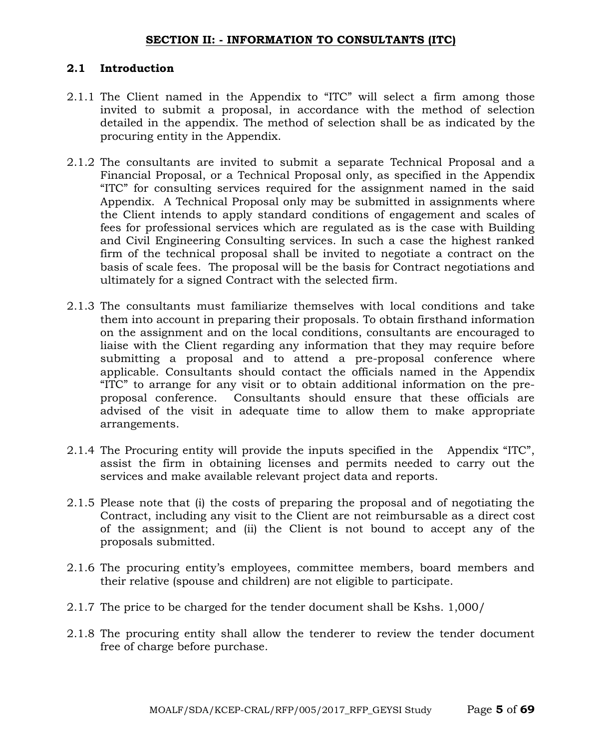#### **SECTION II: - INFORMATION TO CONSULTANTS (ITC)**

#### **2.1 Introduction**

- 2.1.1 The Client named in the Appendix to "ITC" will select a firm among those invited to submit a proposal, in accordance with the method of selection detailed in the appendix. The method of selection shall be as indicated by the procuring entity in the Appendix.
- 2.1.2 The consultants are invited to submit a separate Technical Proposal and a Financial Proposal, or a Technical Proposal only, as specified in the Appendix "ITC" for consulting services required for the assignment named in the said Appendix. A Technical Proposal only may be submitted in assignments where the Client intends to apply standard conditions of engagement and scales of fees for professional services which are regulated as is the case with Building and Civil Engineering Consulting services. In such a case the highest ranked firm of the technical proposal shall be invited to negotiate a contract on the basis of scale fees. The proposal will be the basis for Contract negotiations and ultimately for a signed Contract with the selected firm.
- 2.1.3 The consultants must familiarize themselves with local conditions and take them into account in preparing their proposals. To obtain firsthand information on the assignment and on the local conditions, consultants are encouraged to liaise with the Client regarding any information that they may require before submitting a proposal and to attend a pre-proposal conference where applicable. Consultants should contact the officials named in the Appendix "ITC" to arrange for any visit or to obtain additional information on the preproposal conference. Consultants should ensure that these officials are advised of the visit in adequate time to allow them to make appropriate arrangements.
- 2.1.4 The Procuring entity will provide the inputs specified in the Appendix "ITC", assist the firm in obtaining licenses and permits needed to carry out the services and make available relevant project data and reports.
- 2.1.5 Please note that (i) the costs of preparing the proposal and of negotiating the Contract, including any visit to the Client are not reimbursable as a direct cost of the assignment; and (ii) the Client is not bound to accept any of the proposals submitted.
- 2.1.6 The procuring entity's employees, committee members, board members and their relative (spouse and children) are not eligible to participate.
- 2.1.7 The price to be charged for the tender document shall be Kshs. 1,000/
- 2.1.8 The procuring entity shall allow the tenderer to review the tender document free of charge before purchase.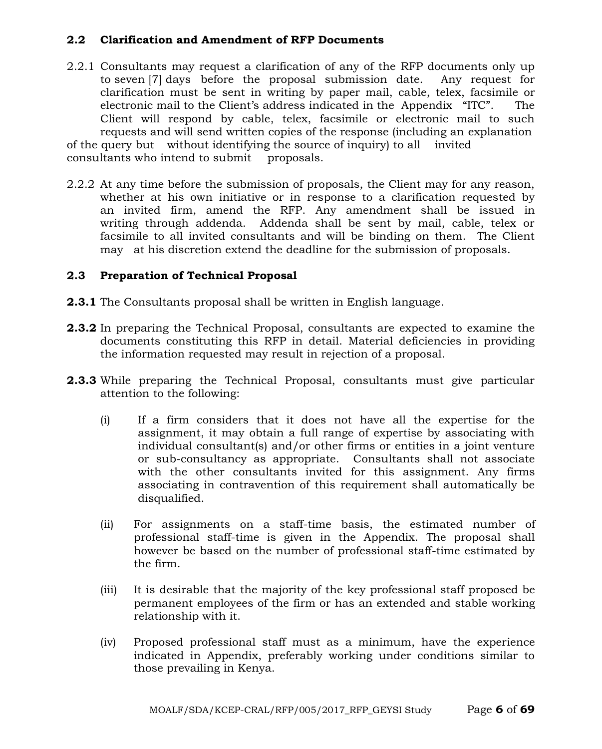#### **2.2 Clarification and Amendment of RFP Documents**

- 2.2.1 Consultants may request a clarification of any of the RFP documents only up to seven [7] days before the proposal submission date. Any request for clarification must be sent in writing by paper mail, cable, telex, facsimile or electronic mail to the Client's address indicated in the Appendix "ITC". The Client will respond by cable, telex, facsimile or electronic mail to such requests and will send written copies of the response (including an explanation of the query but without identifying the source of inquiry) to all invited consultants who intend to submit proposals.
- 2.2.2 At any time before the submission of proposals, the Client may for any reason, whether at his own initiative or in response to a clarification requested by an invited firm, amend the RFP. Any amendment shall be issued in writing through addenda. Addenda shall be sent by mail, cable, telex or facsimile to all invited consultants and will be binding on them. The Client may at his discretion extend the deadline for the submission of proposals.

#### **2.3 Preparation of Technical Proposal**

- **2.3.1** The Consultants proposal shall be written in English language.
- **2.3.2** In preparing the Technical Proposal, consultants are expected to examine the documents constituting this RFP in detail. Material deficiencies in providing the information requested may result in rejection of a proposal.
- **2.3.3** While preparing the Technical Proposal, consultants must give particular attention to the following:
	- (i) If a firm considers that it does not have all the expertise for the assignment, it may obtain a full range of expertise by associating with individual consultant(s) and/or other firms or entities in a joint venture or sub-consultancy as appropriate. Consultants shall not associate with the other consultants invited for this assignment. Any firms associating in contravention of this requirement shall automatically be disqualified.
	- (ii) For assignments on a staff-time basis, the estimated number of professional staff-time is given in the Appendix. The proposal shall however be based on the number of professional staff-time estimated by the firm.
	- (iii) It is desirable that the majority of the key professional staff proposed be permanent employees of the firm or has an extended and stable working relationship with it.
	- (iv) Proposed professional staff must as a minimum, have the experience indicated in Appendix, preferably working under conditions similar to those prevailing in Kenya.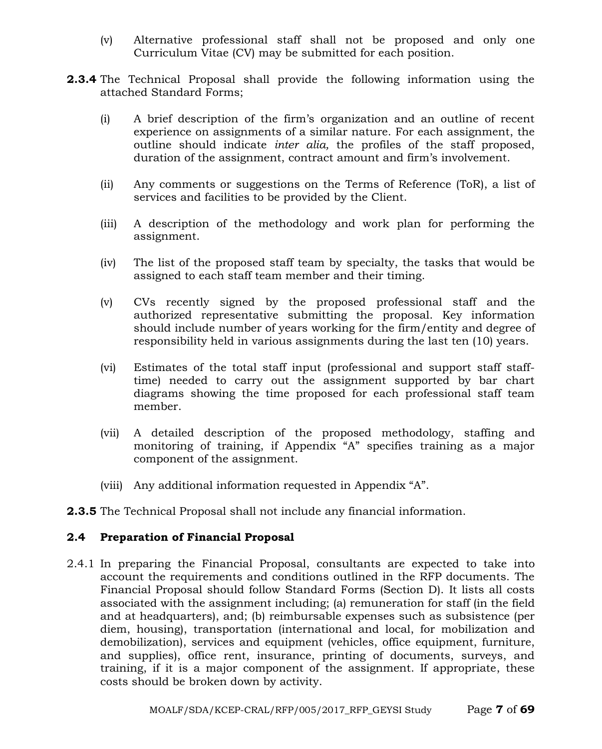- (v) Alternative professional staff shall not be proposed and only one Curriculum Vitae (CV) may be submitted for each position.
- **2.3.4** The Technical Proposal shall provide the following information using the attached Standard Forms;
	- (i) A brief description of the firm's organization and an outline of recent experience on assignments of a similar nature. For each assignment, the outline should indicate *inter alia,* the profiles of the staff proposed, duration of the assignment, contract amount and firm's involvement.
	- (ii) Any comments or suggestions on the Terms of Reference (ToR), a list of services and facilities to be provided by the Client.
	- (iii) A description of the methodology and work plan for performing the assignment.
	- (iv) The list of the proposed staff team by specialty, the tasks that would be assigned to each staff team member and their timing.
	- (v) CVs recently signed by the proposed professional staff and the authorized representative submitting the proposal. Key information should include number of years working for the firm/entity and degree of responsibility held in various assignments during the last ten (10) years.
	- (vi) Estimates of the total staff input (professional and support staff stafftime) needed to carry out the assignment supported by bar chart diagrams showing the time proposed for each professional staff team member.
	- (vii) A detailed description of the proposed methodology, staffing and monitoring of training, if Appendix "A" specifies training as a major component of the assignment.
	- (viii) Any additional information requested in Appendix "A".
- **2.3.5** The Technical Proposal shall not include any financial information.

#### **2.4 Preparation of Financial Proposal**

2.4.1 In preparing the Financial Proposal, consultants are expected to take into account the requirements and conditions outlined in the RFP documents. The Financial Proposal should follow Standard Forms (Section D). It lists all costs associated with the assignment including; (a) remuneration for staff (in the field and at headquarters), and; (b) reimbursable expenses such as subsistence (per diem, housing), transportation (international and local, for mobilization and demobilization), services and equipment (vehicles, office equipment, furniture, and supplies), office rent, insurance, printing of documents, surveys, and training, if it is a major component of the assignment. If appropriate, these costs should be broken down by activity.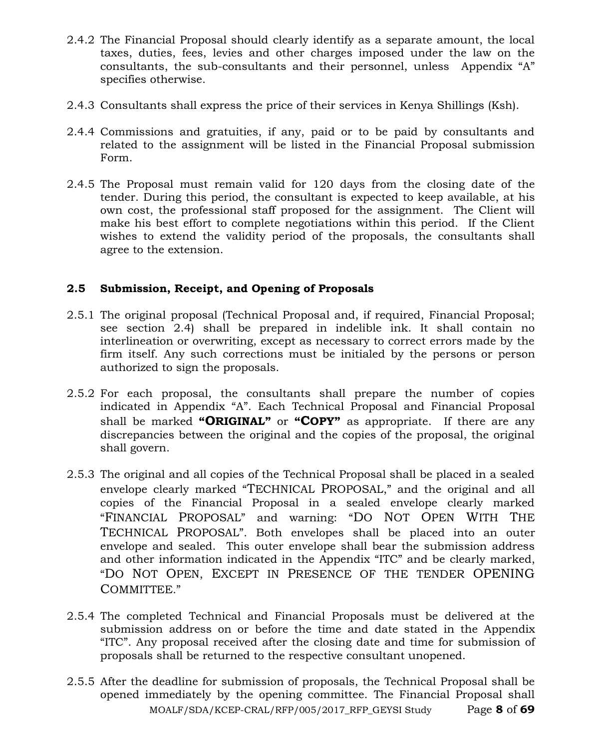- 2.4.2 The Financial Proposal should clearly identify as a separate amount, the local taxes, duties, fees, levies and other charges imposed under the law on the consultants, the sub-consultants and their personnel, unless Appendix "A" specifies otherwise.
- 2.4.3 Consultants shall express the price of their services in Kenya Shillings (Ksh).
- 2.4.4 Commissions and gratuities, if any, paid or to be paid by consultants and related to the assignment will be listed in the Financial Proposal submission Form.
- 2.4.5 The Proposal must remain valid for 120 days from the closing date of the tender. During this period, the consultant is expected to keep available, at his own cost, the professional staff proposed for the assignment. The Client will make his best effort to complete negotiations within this period. If the Client wishes to extend the validity period of the proposals, the consultants shall agree to the extension.

# **2.5 Submission, Receipt, and Opening of Proposals**

- 2.5.1 The original proposal (Technical Proposal and, if required, Financial Proposal; see section 2.4) shall be prepared in indelible ink. It shall contain no interlineation or overwriting, except as necessary to correct errors made by the firm itself. Any such corrections must be initialed by the persons or person authorized to sign the proposals.
- 2.5.2 For each proposal, the consultants shall prepare the number of copies indicated in Appendix "A". Each Technical Proposal and Financial Proposal shall be marked **"ORIGINAL"** or **"COPY"** as appropriate. If there are any discrepancies between the original and the copies of the proposal, the original shall govern.
- 2.5.3 The original and all copies of the Technical Proposal shall be placed in a sealed envelope clearly marked "TECHNICAL PROPOSAL," and the original and all copies of the Financial Proposal in a sealed envelope clearly marked "FINANCIAL PROPOSAL" and warning: "DO NOT OPEN WITH THE TECHNICAL PROPOSAL". Both envelopes shall be placed into an outer envelope and sealed. This outer envelope shall bear the submission address and other information indicated in the Appendix "ITC" and be clearly marked, "DO NOT OPEN, EXCEPT IN PRESENCE OF THE TENDER OPENING COMMITTEE."
- 2.5.4 The completed Technical and Financial Proposals must be delivered at the submission address on or before the time and date stated in the Appendix "ITC". Any proposal received after the closing date and time for submission of proposals shall be returned to the respective consultant unopened.
- MOALF/SDA/KCEP-CRAL/RFP/005/2017\_RFP\_GEYSI Study Page **8** of **69** 2.5.5 After the deadline for submission of proposals, the Technical Proposal shall be opened immediately by the opening committee. The Financial Proposal shall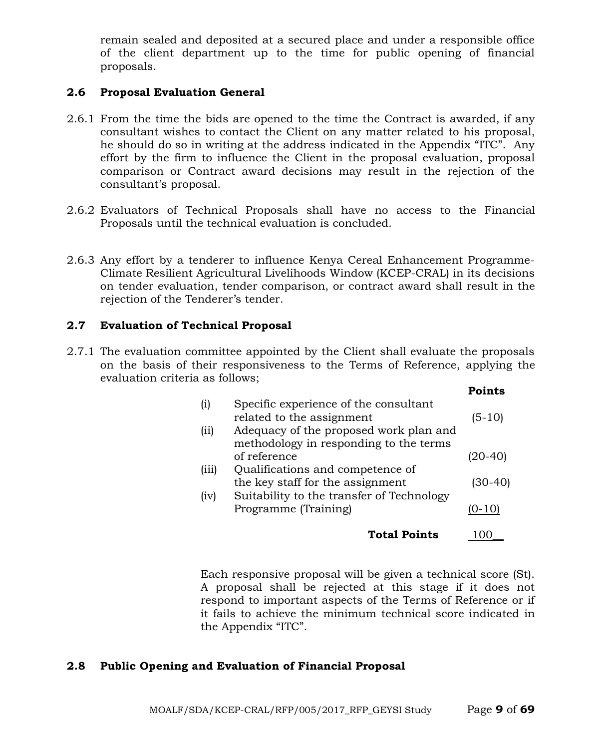remain sealed and deposited at a secured place and under a responsible office of the client department up to the time for public opening of financial proposals.

#### **2.6 Proposal Evaluation General**

- 2.6.1 From the time the bids are opened to the time the Contract is awarded, if any consultant wishes to contact the Client on any matter related to his proposal, he should do so in writing at the address indicated in the Appendix "ITC". Any effort by the firm to influence the Client in the proposal evaluation, proposal comparison or Contract award decisions may result in the rejection of the consultant's proposal.
- 2.6.2 Evaluators of Technical Proposals shall have no access to the Financial Proposals until the technical evaluation is concluded.
- 2.6.3 Any effort by a tenderer to influence Kenya Cereal Enhancement Programme-Climate Resilient Agricultural Livelihoods Window (KCEP-CRAL) in its decisions on tender evaluation, tender comparison, or contract award shall result in the rejection of the Tenderer's tender.

#### **2.7 Evaluation of Technical Proposal**

2.7.1 The evaluation committee appointed by the Client shall evaluate the proposals on the basis of their responsiveness to the Terms of Reference, applying the evaluation criteria as follows;

|                   |                                                                    | POINTS   |
|-------------------|--------------------------------------------------------------------|----------|
| $\left( i\right)$ | Specific experience of the consultant<br>related to the assignment | $(5-10)$ |
| (i)               | Adequacy of the proposed work plan and                             |          |
|                   | methodology in responding to the terms                             |          |
|                   | of reference                                                       | (20-40)  |
| (iii)             | Qualifications and competence of                                   |          |
|                   | the key staff for the assignment                                   | (30-40)  |
| (iv)              | Suitability to the transfer of Technology                          |          |
|                   | Programme (Training)                                               | (0-10)   |
|                   | <b>Total Points</b>                                                |          |
|                   |                                                                    |          |

**Points**

Each responsive proposal will be given a technical score (St). A proposal shall be rejected at this stage if it does not respond to important aspects of the Terms of Reference or if it fails to achieve the minimum technical score indicated in the Appendix "ITC".

#### **2.8 Public Opening and Evaluation of Financial Proposal**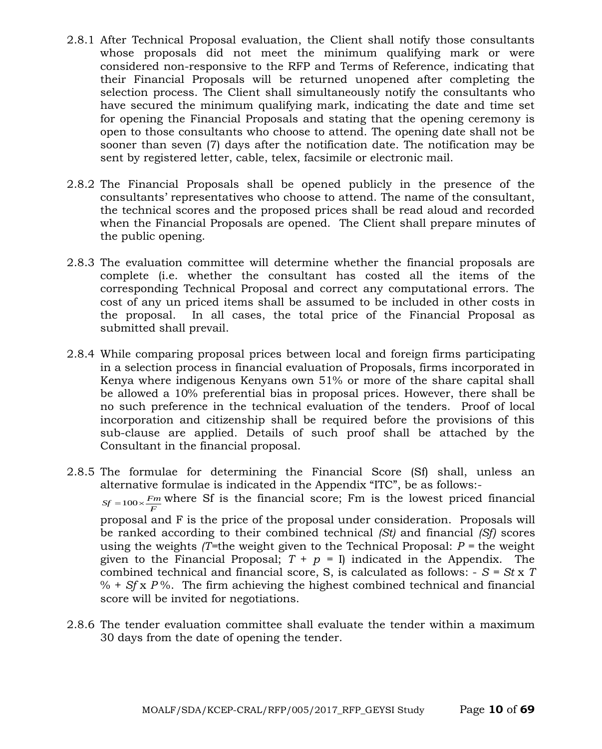- 2.8.1 After Technical Proposal evaluation, the Client shall notify those consultants whose proposals did not meet the minimum qualifying mark or were considered non-responsive to the RFP and Terms of Reference, indicating that their Financial Proposals will be returned unopened after completing the selection process. The Client shall simultaneously notify the consultants who have secured the minimum qualifying mark, indicating the date and time set for opening the Financial Proposals and stating that the opening ceremony is open to those consultants who choose to attend. The opening date shall not be sooner than seven (7) days after the notification date. The notification may be sent by registered letter, cable, telex, facsimile or electronic mail.
- 2.8.2 The Financial Proposals shall be opened publicly in the presence of the consultants' representatives who choose to attend. The name of the consultant, the technical scores and the proposed prices shall be read aloud and recorded when the Financial Proposals are opened. The Client shall prepare minutes of the public opening.
- 2.8.3 The evaluation committee will determine whether the financial proposals are complete (i.e. whether the consultant has costed all the items of the corresponding Technical Proposal and correct any computational errors. The cost of any un priced items shall be assumed to be included in other costs in the proposal. In all cases, the total price of the Financial Proposal as submitted shall prevail.
- 2.8.4 While comparing proposal prices between local and foreign firms participating in a selection process in financial evaluation of Proposals, firms incorporated in Kenya where indigenous Kenyans own 51% or more of the share capital shall be allowed a 10% preferential bias in proposal prices. However, there shall be no such preference in the technical evaluation of the tenders. Proof of local incorporation and citizenship shall be required before the provisions of this sub-clause are applied. Details of such proof shall be attached by the Consultant in the financial proposal.
- 2.8.5 The formulae for determining the Financial Score (Sf) shall, unless an alternative formulae is indicated in the Appendix "ITC", be as follows:-  $S_f = 100 \times \frac{F_m}{F}$  where Sf is the financial score; Fm is the lowest priced financial proposal and F is the price of the proposal under consideration. Proposals will be ranked according to their combined technical *(St)* and financial *(Sf)* scores using the weights  $T=$ the weight given to the Technical Proposal:  $P =$  the weight given to the Financial Proposal;  $T + p = I$  indicated in the Appendix. The combined technical and financial score, S, is calculated as follows: - *S = St* x *T*   $% + Sf x P$ %. The firm achieving the highest combined technical and financial score will be invited for negotiations.
- 2.8.6 The tender evaluation committee shall evaluate the tender within a maximum 30 days from the date of opening the tender.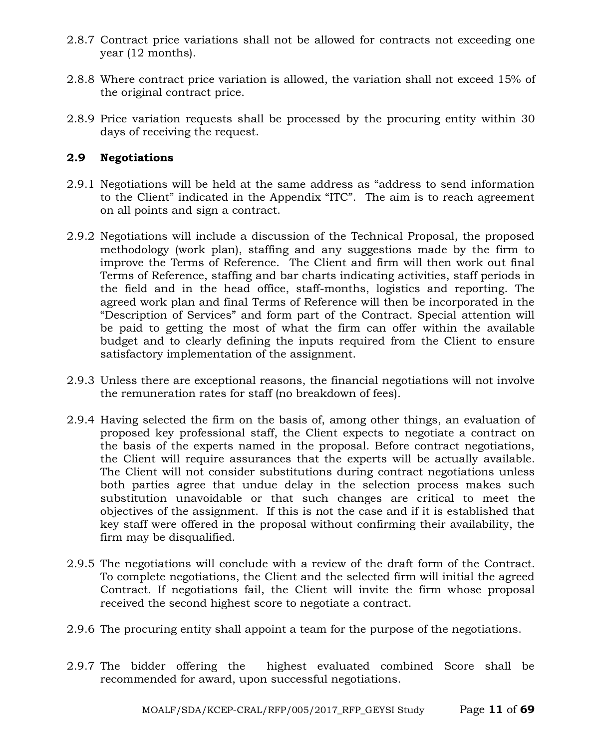- 2.8.7 Contract price variations shall not be allowed for contracts not exceeding one year (12 months).
- 2.8.8 Where contract price variation is allowed, the variation shall not exceed 15% of the original contract price.
- 2.8.9 Price variation requests shall be processed by the procuring entity within 30 days of receiving the request.

#### **2.9 Negotiations**

- 2.9.1 Negotiations will be held at the same address as "address to send information to the Client" indicated in the Appendix "ITC". The aim is to reach agreement on all points and sign a contract.
- 2.9.2 Negotiations will include a discussion of the Technical Proposal, the proposed methodology (work plan), staffing and any suggestions made by the firm to improve the Terms of Reference. The Client and firm will then work out final Terms of Reference, staffing and bar charts indicating activities, staff periods in the field and in the head office, staff-months, logistics and reporting. The agreed work plan and final Terms of Reference will then be incorporated in the "Description of Services" and form part of the Contract. Special attention will be paid to getting the most of what the firm can offer within the available budget and to clearly defining the inputs required from the Client to ensure satisfactory implementation of the assignment.
- 2.9.3 Unless there are exceptional reasons, the financial negotiations will not involve the remuneration rates for staff (no breakdown of fees).
- 2.9.4 Having selected the firm on the basis of, among other things, an evaluation of proposed key professional staff, the Client expects to negotiate a contract on the basis of the experts named in the proposal. Before contract negotiations, the Client will require assurances that the experts will be actually available. The Client will not consider substitutions during contract negotiations unless both parties agree that undue delay in the selection process makes such substitution unavoidable or that such changes are critical to meet the objectives of the assignment. If this is not the case and if it is established that key staff were offered in the proposal without confirming their availability, the firm may be disqualified.
- 2.9.5 The negotiations will conclude with a review of the draft form of the Contract. To complete negotiations, the Client and the selected firm will initial the agreed Contract. If negotiations fail, the Client will invite the firm whose proposal received the second highest score to negotiate a contract.
- 2.9.6 The procuring entity shall appoint a team for the purpose of the negotiations.
- 2.9.7 The bidder offering the highest evaluated combined Score shall be recommended for award, upon successful negotiations.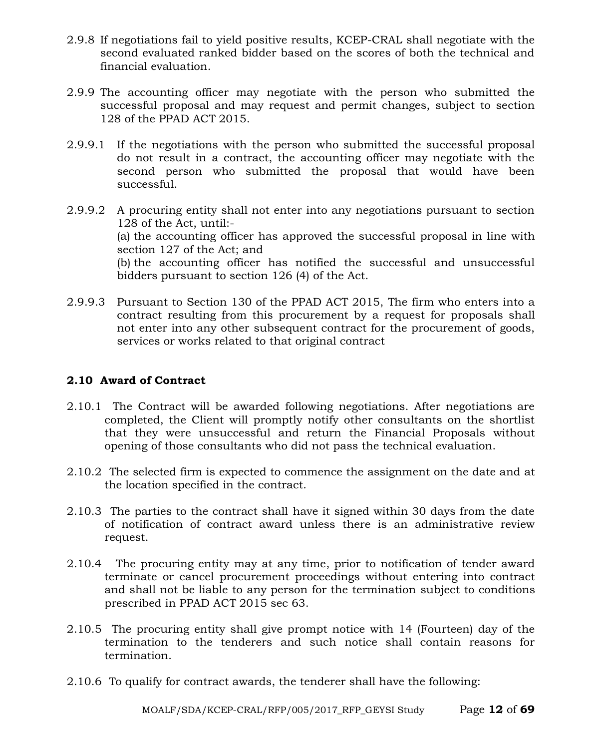- 2.9.8 If negotiations fail to yield positive results, KCEP-CRAL shall negotiate with the second evaluated ranked bidder based on the scores of both the technical and financial evaluation.
- 2.9.9 The accounting officer may negotiate with the person who submitted the successful proposal and may request and permit changes, subject to section 128 of the PPAD ACT 2015.
- 2.9.9.1 If the negotiations with the person who submitted the successful proposal do not result in a contract, the accounting officer may negotiate with the second person who submitted the proposal that would have been successful.
- 2.9.9.2 A procuring entity shall not enter into any negotiations pursuant to section 128 of the Act, until:- (a) the accounting officer has approved the successful proposal in line with section 127 of the Act; and (b) the accounting officer has notified the successful and unsuccessful bidders pursuant to section 126 (4) of the Act.
- 2.9.9.3 Pursuant to Section 130 of the PPAD ACT 2015, The firm who enters into a contract resulting from this procurement by a request for proposals shall not enter into any other subsequent contract for the procurement of goods, services or works related to that original contract

# **2.10 Award of Contract**

- 2.10.1 The Contract will be awarded following negotiations. After negotiations are completed, the Client will promptly notify other consultants on the shortlist that they were unsuccessful and return the Financial Proposals without opening of those consultants who did not pass the technical evaluation.
- 2.10.2 The selected firm is expected to commence the assignment on the date and at the location specified in the contract.
- 2.10.3 The parties to the contract shall have it signed within 30 days from the date of notification of contract award unless there is an administrative review request.
- 2.10.4 The procuring entity may at any time, prior to notification of tender award terminate or cancel procurement proceedings without entering into contract and shall not be liable to any person for the termination subject to conditions prescribed in PPAD ACT 2015 sec 63.
- 2.10.5 The procuring entity shall give prompt notice with 14 (Fourteen) day of the termination to the tenderers and such notice shall contain reasons for termination.
- 2.10.6 To qualify for contract awards, the tenderer shall have the following: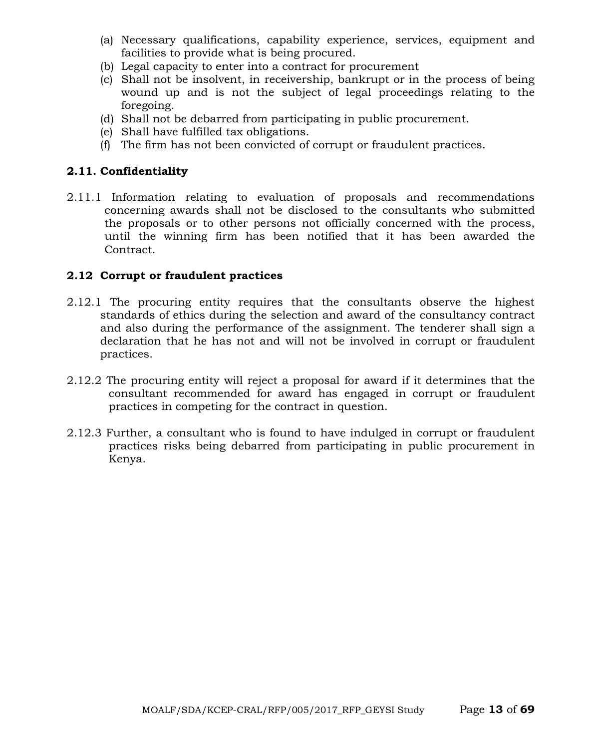- (a) Necessary qualifications, capability experience, services, equipment and facilities to provide what is being procured.
- (b) Legal capacity to enter into a contract for procurement
- (c) Shall not be insolvent, in receivership, bankrupt or in the process of being wound up and is not the subject of legal proceedings relating to the foregoing.
- (d) Shall not be debarred from participating in public procurement.
- (e) Shall have fulfilled tax obligations.
- (f) The firm has not been convicted of corrupt or fraudulent practices.

#### **2.11. Confidentiality**

2.11.1 Information relating to evaluation of proposals and recommendations concerning awards shall not be disclosed to the consultants who submitted the proposals or to other persons not officially concerned with the process, until the winning firm has been notified that it has been awarded the Contract.

#### **2.12 Corrupt or fraudulent practices**

- 2.12.1 The procuring entity requires that the consultants observe the highest standards of ethics during the selection and award of the consultancy contract and also during the performance of the assignment. The tenderer shall sign a declaration that he has not and will not be involved in corrupt or fraudulent practices.
- 2.12.2 The procuring entity will reject a proposal for award if it determines that the consultant recommended for award has engaged in corrupt or fraudulent practices in competing for the contract in question.
- 2.12.3 Further, a consultant who is found to have indulged in corrupt or fraudulent practices risks being debarred from participating in public procurement in Kenya.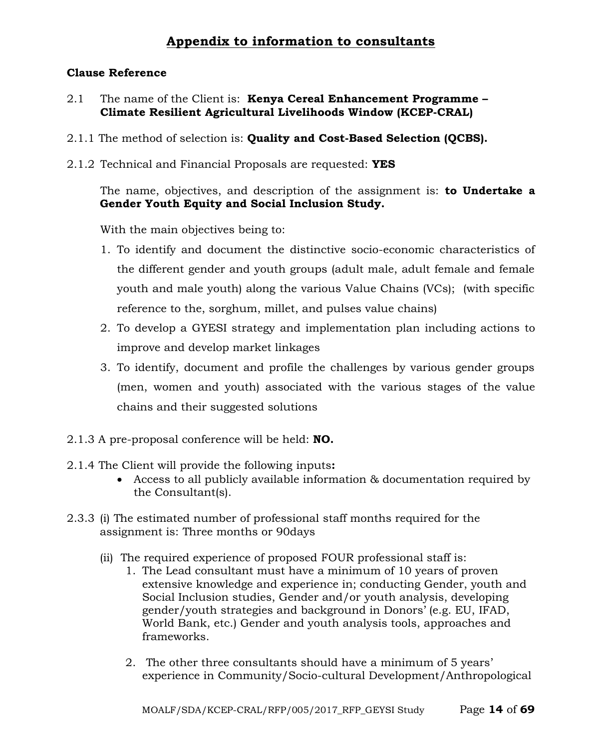# **Appendix to information to consultants**

#### **Clause Reference**

- 2.1 The name of the Client is: **Kenya Cereal Enhancement Programme – Climate Resilient Agricultural Livelihoods Window (KCEP-CRAL)**
- 2.1.1 The method of selection is: **Quality and Cost-Based Selection (QCBS).**
- 2.1.2 Technical and Financial Proposals are requested: **YES**

The name, objectives, and description of the assignment is: **to Undertake a Gender Youth Equity and Social Inclusion Study.**

With the main objectives being to:

- 1. To identify and document the distinctive socio-economic characteristics of the different gender and youth groups (adult male, adult female and female youth and male youth) along the various Value Chains (VCs); (with specific reference to the, sorghum, millet, and pulses value chains)
- 2. To develop a GYESI strategy and implementation plan including actions to improve and develop market linkages
- 3. To identify, document and profile the challenges by various gender groups (men, women and youth) associated with the various stages of the value chains and their suggested solutions
- 2.1.3 A pre-proposal conference will be held: **NO.**
- 2.1.4 The Client will provide the following inputs**:**
	- Access to all publicly available information & documentation required by the Consultant(s).
- 2.3.3 (i) The estimated number of professional staff months required for the assignment is: Three months or 90days
	- (ii) The required experience of proposed FOUR professional staff is:
		- 1. The Lead consultant must have a minimum of 10 years of proven extensive knowledge and experience in; conducting Gender, youth and Social Inclusion studies, Gender and/or youth analysis, developing gender/youth strategies and background in Donors' (e.g. EU, IFAD, World Bank, etc.) Gender and youth analysis tools, approaches and frameworks.
		- 2. The other three consultants should have a minimum of 5 years' experience in Community/Socio-cultural Development/Anthropological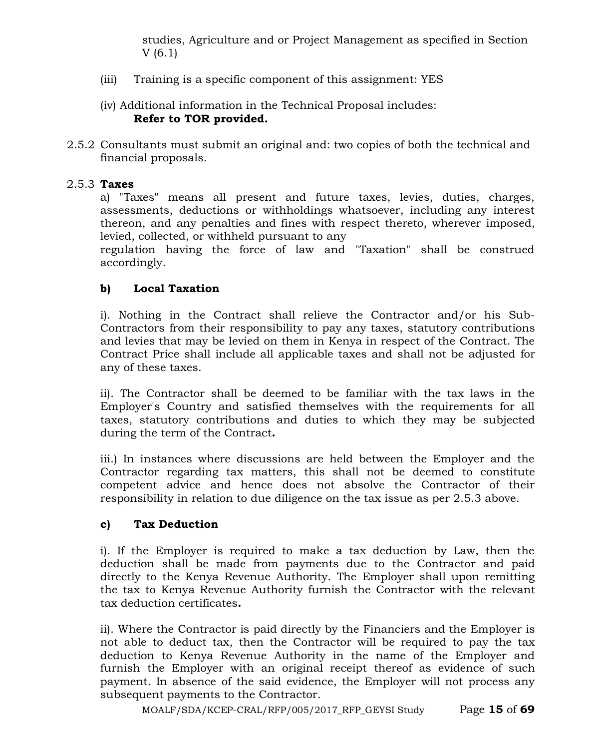studies, Agriculture and or Project Management as specified in Section V (6.1)

- (iii) Training is a specific component of this assignment: YES
- (iv) Additional information in the Technical Proposal includes: **Refer to TOR provided.**
- 2.5.2 Consultants must submit an original and: two copies of both the technical and financial proposals.

#### 2.5.3 **Taxes**

a) "Taxes" means all present and future taxes, levies, duties, charges, assessments, deductions or withholdings whatsoever, including any interest thereon, and any penalties and fines with respect thereto, wherever imposed, levied, collected, or withheld pursuant to any

regulation having the force of law and "Taxation" shall be construed accordingly.

#### **b) Local Taxation**

i). Nothing in the Contract shall relieve the Contractor and/or his Sub-Contractors from their responsibility to pay any taxes, statutory contributions and levies that may be levied on them in Kenya in respect of the Contract. The Contract Price shall include all applicable taxes and shall not be adjusted for any of these taxes.

ii). The Contractor shall be deemed to be familiar with the tax laws in the Employer's Country and satisfied themselves with the requirements for all taxes, statutory contributions and duties to which they may be subjected during the term of the Contract**.**

iii.) In instances where discussions are held between the Employer and the Contractor regarding tax matters, this shall not be deemed to constitute competent advice and hence does not absolve the Contractor of their responsibility in relation to due diligence on the tax issue as per 2.5.3 above.

#### **c) Tax Deduction**

i). If the Employer is required to make a tax deduction by Law, then the deduction shall be made from payments due to the Contractor and paid directly to the Kenya Revenue Authority. The Employer shall upon remitting the tax to Kenya Revenue Authority furnish the Contractor with the relevant tax deduction certificates**.**

ii). Where the Contractor is paid directly by the Financiers and the Employer is not able to deduct tax, then the Contractor will be required to pay the tax deduction to Kenya Revenue Authority in the name of the Employer and furnish the Employer with an original receipt thereof as evidence of such payment. In absence of the said evidence, the Employer will not process any subsequent payments to the Contractor.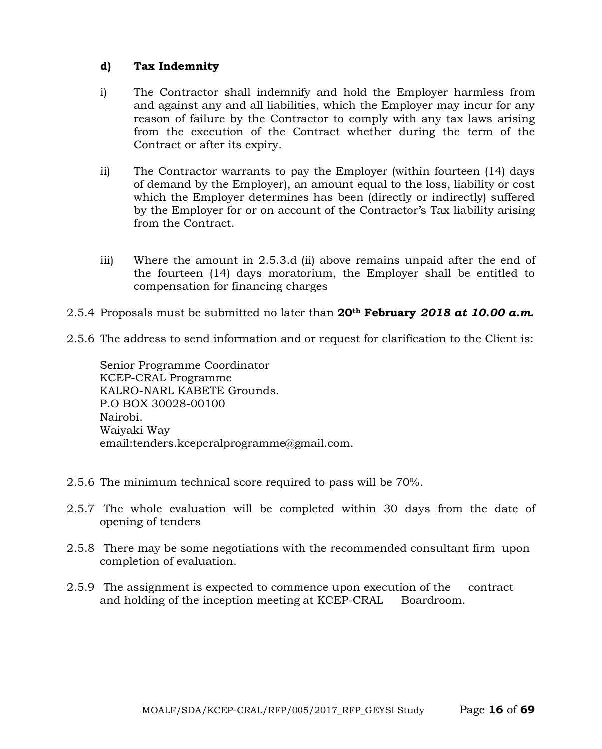#### **d) Tax Indemnity**

- i) The Contractor shall indemnify and hold the Employer harmless from and against any and all liabilities, which the Employer may incur for any reason of failure by the Contractor to comply with any tax laws arising from the execution of the Contract whether during the term of the Contract or after its expiry.
- ii) The Contractor warrants to pay the Employer (within fourteen (14) days of demand by the Employer), an amount equal to the loss, liability or cost which the Employer determines has been (directly or indirectly) suffered by the Employer for or on account of the Contractor's Tax liability arising from the Contract.
- iii) Where the amount in 2.5.3.d (ii) above remains unpaid after the end of the fourteen (14) days moratorium, the Employer shall be entitled to compensation for financing charges
- 2.5.4 Proposals must be submitted no later than **20th February** *2018 at 10.00 a.m***.**
- 2.5.6 The address to send information and or request for clarification to the Client is:

Senior Programme Coordinator KCEP-CRAL Programme KALRO-NARL KABETE Grounds. P.O BOX 30028-00100 Nairobi. Waiyaki Way email:tenders.kcepcralprogramme@gmail.com.

- 2.5.6 The minimum technical score required to pass will be 70%.
- 2.5.7 The whole evaluation will be completed within 30 days from the date of opening of tenders
- 2.5.8 There may be some negotiations with the recommended consultant firm upon completion of evaluation.
- 2.5.9 The assignment is expected to commence upon execution of the contract and holding of the inception meeting at KCEP-CRAL Boardroom.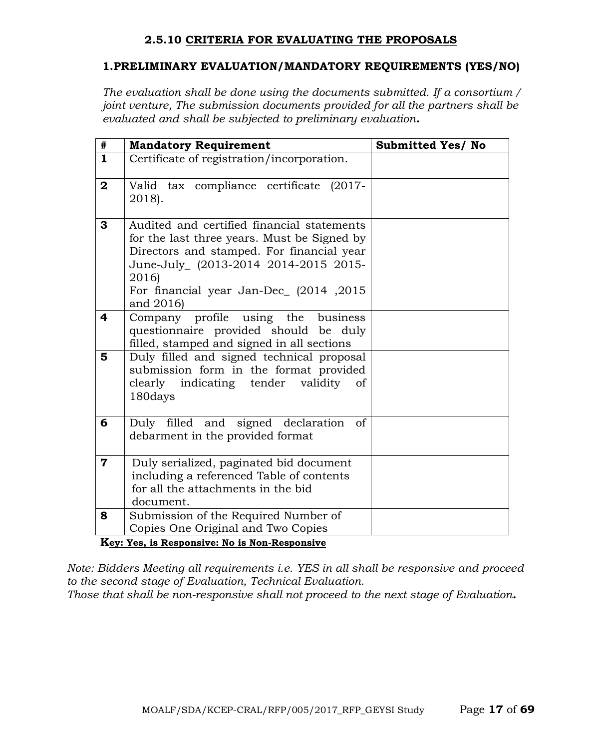#### **2.5.10 CRITERIA FOR EVALUATING THE PROPOSALS**

#### **1.PRELIMINARY EVALUATION/MANDATORY REQUIREMENTS (YES/NO)**

*The evaluation shall be done using the documents submitted. If a consortium / joint venture, The submission documents provided for all the partners shall be evaluated and shall be subjected to preliminary evaluation.*

| #                       | <b>Mandatory Requirement</b>                                                                                                                                                                                                                    | <b>Submitted Yes/ No</b> |  |  |  |
|-------------------------|-------------------------------------------------------------------------------------------------------------------------------------------------------------------------------------------------------------------------------------------------|--------------------------|--|--|--|
| $\mathbf{1}$            | Certificate of registration/incorporation.                                                                                                                                                                                                      |                          |  |  |  |
| $\mathbf{2}$            | Valid tax compliance certificate<br>$(2017 -$<br>2018).                                                                                                                                                                                         |                          |  |  |  |
| 3                       | Audited and certified financial statements<br>for the last three years. Must be Signed by<br>Directors and stamped. For financial year<br>June-July_ (2013-2014 2014-2015 2015-<br>2016)<br>For financial year Jan-Dec (2014, 2015<br>and 2016) |                          |  |  |  |
| 4                       | Company profile using the<br>business<br>questionnaire provided should be duly<br>filled, stamped and signed in all sections                                                                                                                    |                          |  |  |  |
| 5                       | Duly filled and signed technical proposal<br>submission form in the format provided<br>clearly indicating tender<br>validity<br>of<br>180days                                                                                                   |                          |  |  |  |
| 6                       | Duly filled and signed declaration<br><sub>of</sub><br>debarment in the provided format                                                                                                                                                         |                          |  |  |  |
| $\overline{\mathbf{7}}$ | Duly serialized, paginated bid document<br>including a referenced Table of contents<br>for all the attachments in the bid<br>document.                                                                                                          |                          |  |  |  |
| 8                       | Submission of the Required Number of<br>Copies One Original and Two Copies                                                                                                                                                                      |                          |  |  |  |
|                         | Key: Yes, is Responsive: No is Non-Responsive                                                                                                                                                                                                   |                          |  |  |  |

*Note: Bidders Meeting all requirements i.e. YES in all shall be responsive and proceed to the second stage of Evaluation, Technical Evaluation.*

*Those that shall be non-responsive shall not proceed to the next stage of Evaluation.*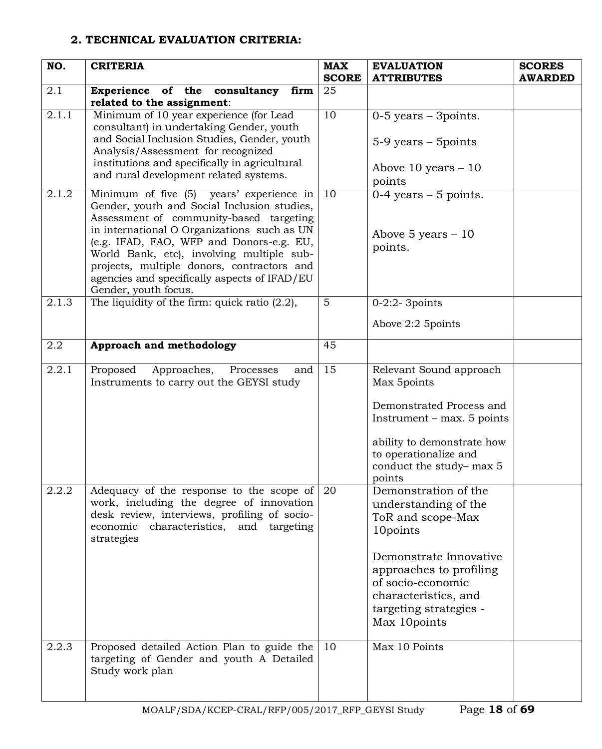# **2. TECHNICAL EVALUATION CRITERIA:**

| NO.   | <b>CRITERIA</b>                                                                                                                                                                                                                                                                                                                                                                                  | <b>MAX</b><br><b>SCORE</b> | <b>EVALUATION</b><br><b>ATTRIBUTES</b>                                                                                                                                                                                    | <b>SCORES</b><br><b>AWARDED</b> |
|-------|--------------------------------------------------------------------------------------------------------------------------------------------------------------------------------------------------------------------------------------------------------------------------------------------------------------------------------------------------------------------------------------------------|----------------------------|---------------------------------------------------------------------------------------------------------------------------------------------------------------------------------------------------------------------------|---------------------------------|
| 2.1   | Experience of the consultancy<br>firm<br>related to the assignment:                                                                                                                                                                                                                                                                                                                              | 25                         |                                                                                                                                                                                                                           |                                 |
| 2.1.1 | Minimum of 10 year experience (for Lead<br>consultant) in undertaking Gender, youth<br>and Social Inclusion Studies, Gender, youth<br>Analysis/Assessment for recognized<br>institutions and specifically in agricultural<br>and rural development related systems.                                                                                                                              | 10                         | $0-5$ years $-3$ points.<br>5-9 years - 5 points<br>Above $10$ years $-10$<br>points                                                                                                                                      |                                 |
| 2.1.2 | Minimum of five (5) years' experience in<br>Gender, youth and Social Inclusion studies,<br>Assessment of community-based targeting<br>in international O Organizations such as UN<br>(e.g. IFAD, FAO, WFP and Donors-e.g. EU,<br>World Bank, etc), involving multiple sub-<br>projects, multiple donors, contractors and<br>agencies and specifically aspects of IFAD/EU<br>Gender, youth focus. | 10                         | $0-4$ years $-5$ points.<br>Above 5 years $-10$<br>points.                                                                                                                                                                |                                 |
| 2.1.3 | The liquidity of the firm: quick ratio $(2.2)$ ,                                                                                                                                                                                                                                                                                                                                                 | $5\phantom{1}$             | $0-2:2-3$ points                                                                                                                                                                                                          |                                 |
|       |                                                                                                                                                                                                                                                                                                                                                                                                  |                            | Above 2:2 5 points                                                                                                                                                                                                        |                                 |
| 2.2   | Approach and methodology                                                                                                                                                                                                                                                                                                                                                                         | 45                         |                                                                                                                                                                                                                           |                                 |
| 2.2.1 | Proposed<br>Approaches,<br>and<br>Processes<br>Instruments to carry out the GEYSI study                                                                                                                                                                                                                                                                                                          | 15                         | Relevant Sound approach<br>Max 5points<br>Demonstrated Process and<br>Instrument – max. 5 points<br>ability to demonstrate how<br>to operationalize and<br>conduct the study-max 5<br>points                              |                                 |
| 2.2.2 | Adequacy of the response to the scope of $\sqrt{20}$<br>work, including the degree of innovation<br>desk review, interviews, profiling of socio-<br>economic characteristics, and<br>targeting<br>strategies                                                                                                                                                                                     |                            | Demonstration of the<br>understanding of the<br>ToR and scope-Max<br>10points<br>Demonstrate Innovative<br>approaches to profiling<br>of socio-economic<br>characteristics, and<br>targeting strategies -<br>Max 10points |                                 |
| 2.2.3 | Proposed detailed Action Plan to guide the<br>targeting of Gender and youth A Detailed<br>Study work plan                                                                                                                                                                                                                                                                                        | 10                         | Max 10 Points                                                                                                                                                                                                             |                                 |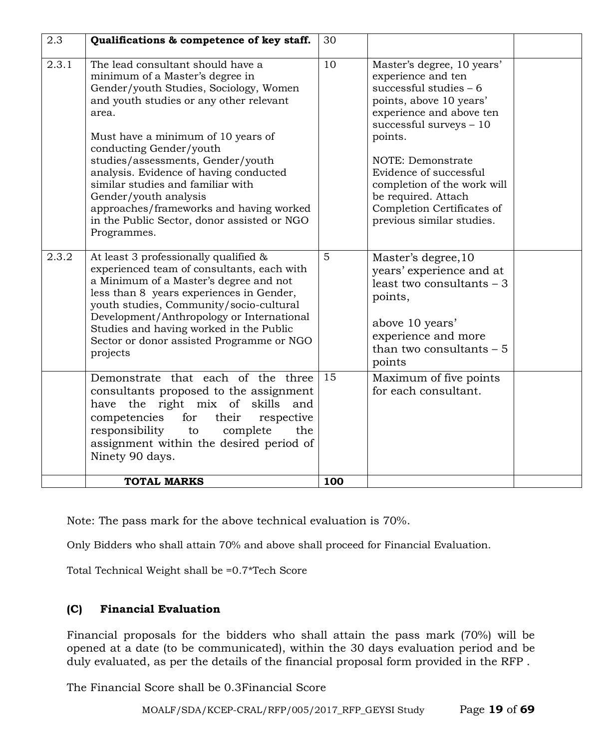| 2.3   | Qualifications & competence of key staff.                                                                                                                                                                                                                                                                                                                                                                                                                                                 | 30  |                                                                                                                                                                                                                                                                                                                                           |  |
|-------|-------------------------------------------------------------------------------------------------------------------------------------------------------------------------------------------------------------------------------------------------------------------------------------------------------------------------------------------------------------------------------------------------------------------------------------------------------------------------------------------|-----|-------------------------------------------------------------------------------------------------------------------------------------------------------------------------------------------------------------------------------------------------------------------------------------------------------------------------------------------|--|
| 2.3.1 | The lead consultant should have a<br>minimum of a Master's degree in<br>Gender/youth Studies, Sociology, Women<br>and youth studies or any other relevant<br>area.<br>Must have a minimum of 10 years of<br>conducting Gender/youth<br>studies/assessments, Gender/youth<br>analysis. Evidence of having conducted<br>similar studies and familiar with<br>Gender/youth analysis<br>approaches/frameworks and having worked<br>in the Public Sector, donor assisted or NGO<br>Programmes. | 10  | Master's degree, 10 years'<br>experience and ten<br>successful studies $-6$<br>points, above 10 years'<br>experience and above ten<br>successful surveys $-10$<br>points.<br>NOTE: Demonstrate<br>Evidence of successful<br>completion of the work will<br>be required. Attach<br>Completion Certificates of<br>previous similar studies. |  |
| 2.3.2 | At least 3 professionally qualified &<br>experienced team of consultants, each with<br>a Minimum of a Master's degree and not<br>less than 8 years experiences in Gender,<br>youth studies, Community/socio-cultural<br>Development/Anthropology or International<br>Studies and having worked in the Public<br>Sector or donor assisted Programme or NGO<br>projects                                                                                                                     | 5   | Master's degree, 10<br>years' experience and at<br>least two consultants $-3$<br>points,<br>above 10 years'<br>experience and more<br>than two consultants $-5$<br>points                                                                                                                                                                 |  |
|       | Demonstrate that each of the three<br>consultants proposed to the assignment<br>have the right mix of<br>skills<br>and<br>competencies<br>for<br>their<br>respective<br>responsibility<br>to<br>complete<br>the<br>assignment within the desired period of<br>Ninety 90 days.                                                                                                                                                                                                             | 15  | Maximum of five points<br>for each consultant.                                                                                                                                                                                                                                                                                            |  |
|       | <b>TOTAL MARKS</b>                                                                                                                                                                                                                                                                                                                                                                                                                                                                        | 100 |                                                                                                                                                                                                                                                                                                                                           |  |

Note: The pass mark for the above technical evaluation is 70%.

Only Bidders who shall attain 70% and above shall proceed for Financial Evaluation.

Total Technical Weight shall be =0.7\*Tech Score

# **(C) Financial Evaluation**

Financial proposals for the bidders who shall attain the pass mark (70%) will be opened at a date (to be communicated), within the 30 days evaluation period and be duly evaluated, as per the details of the financial proposal form provided in the RFP .

The Financial Score shall be 0.3Financial Score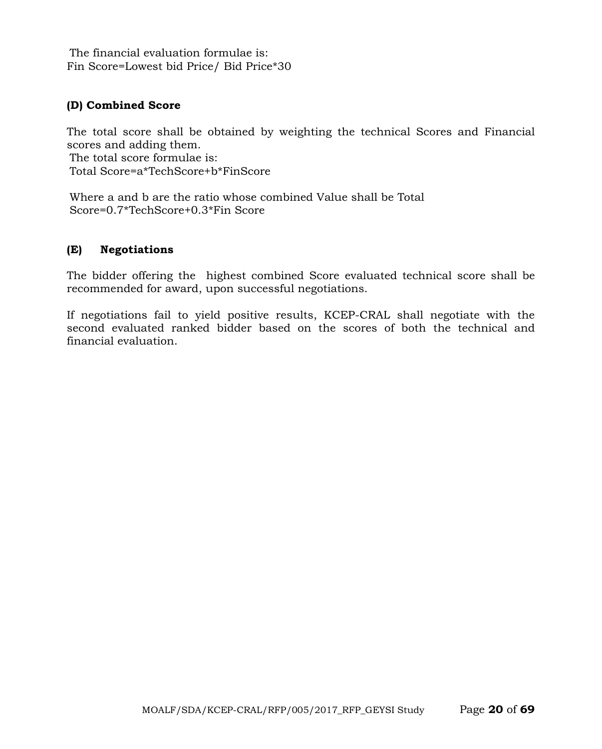The financial evaluation formulae is: Fin Score=Lowest bid Price/ Bid Price\*30

#### **(D) Combined Score**

The total score shall be obtained by weighting the technical Scores and Financial scores and adding them. The total score formulae is: Total Score=a\*TechScore+b\*FinScore

Where a and b are the ratio whose combined Value shall be Total Score=0.7\*TechScore+0.3\*Fin Score

#### **(E) Negotiations**

The bidder offering the highest combined Score evaluated technical score shall be recommended for award, upon successful negotiations.

If negotiations fail to yield positive results, KCEP-CRAL shall negotiate with the second evaluated ranked bidder based on the scores of both the technical and financial evaluation.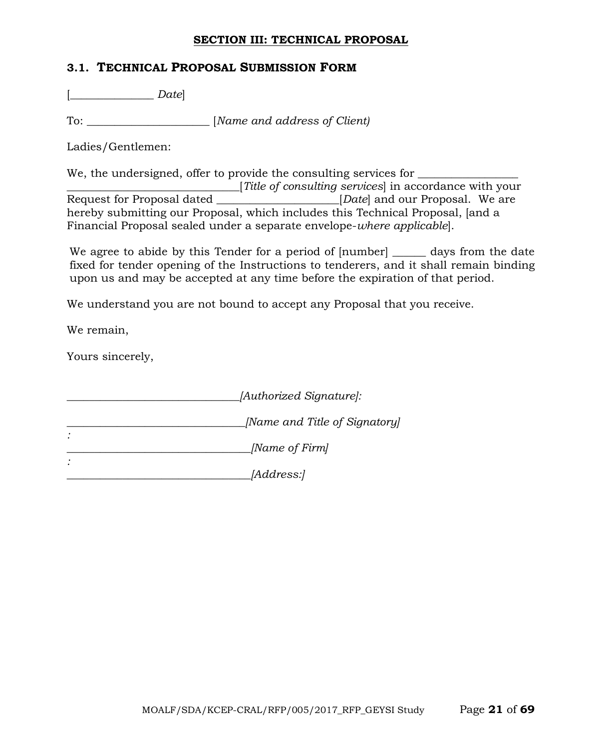#### **SECTION III: TECHNICAL PROPOSAL**

#### **3.1. TECHNICAL PROPOSAL SUBMISSION FORM**

[\_\_\_\_\_\_\_\_\_\_\_\_\_\_\_ *Date*]

To: \_\_\_\_\_\_\_\_\_\_\_\_\_\_\_\_\_\_\_\_\_\_ [*Name and address of Client)*

Ladies/Gentlemen:

We, the undersigned, offer to provide the consulting services for

Title of consulting services in accordance with your<br>Request for Proposal dated [*Date*] and our Proposal. We are *EREPERDEN* EXCHEDRED **EXCHEDRED EXCHEDRED** and our Proposal. We are hereby submitting our Proposal, which includes this Technical Proposal, [and a Financial Proposal sealed under a separate envelope-*where applicable*].

We agree to abide by this Tender for a period of  $[number]$  and days from the date fixed for tender opening of the Instructions to tenderers, and it shall remain binding upon us and may be accepted at any time before the expiration of that period.

We understand you are not bound to accept any Proposal that you receive.

We remain,

Yours sincerely,

| [Authorized Signature]:       |
|-------------------------------|
| [Name and Title of Signatory] |
| [Name of Firm]                |
| <i>[Address:]</i>             |

MOALF/SDA/KCEP-CRAL/RFP/005/2017\_RFP\_GEYSI Study Page **21** of **69**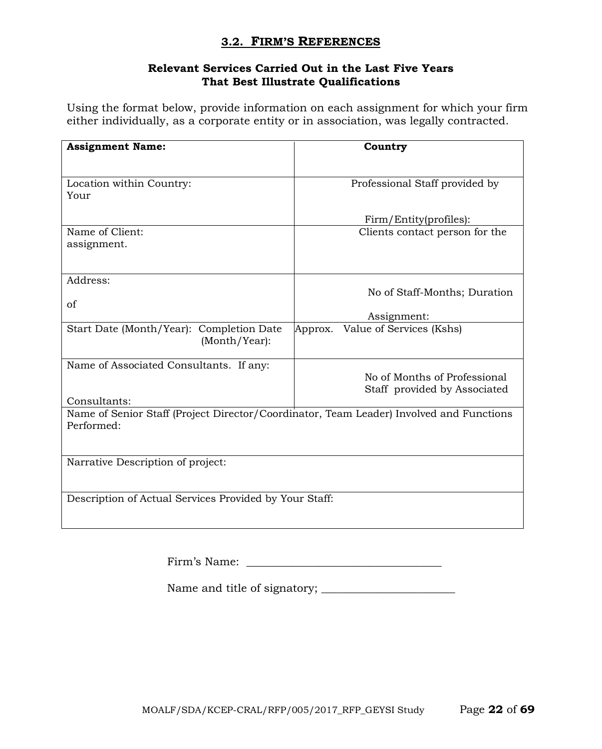#### **3.2. FIRM'S REFERENCES**

#### **Relevant Services Carried Out in the Last Five Years That Best Illustrate Qualifications**

Using the format below, provide information on each assignment for which your firm either individually, as a corporate entity or in association, was legally contracted.

| <b>Assignment Name:</b>                                                                               | Country                                                      |
|-------------------------------------------------------------------------------------------------------|--------------------------------------------------------------|
| Location within Country:<br>Your                                                                      | Professional Staff provided by                               |
|                                                                                                       | Firm/Entity(profiles):                                       |
| Name of Client:<br>assignment.                                                                        | Clients contact person for the                               |
| Address:<br>of                                                                                        | No of Staff-Months; Duration                                 |
|                                                                                                       | Assignment:                                                  |
| Start Date (Month/Year): Completion Date<br>(Month/Year):                                             | Value of Services (Kshs)<br>Approx.                          |
| Name of Associated Consultants. If any:                                                               | No of Months of Professional<br>Staff provided by Associated |
| Consultants:                                                                                          |                                                              |
| Name of Senior Staff (Project Director/Coordinator, Team Leader) Involved and Functions<br>Performed: |                                                              |
| Narrative Description of project:                                                                     |                                                              |
| Description of Actual Services Provided by Your Staff:                                                |                                                              |

Name and title of signatory; \_\_\_\_\_\_\_\_\_\_\_\_\_\_\_\_\_\_\_\_\_\_\_\_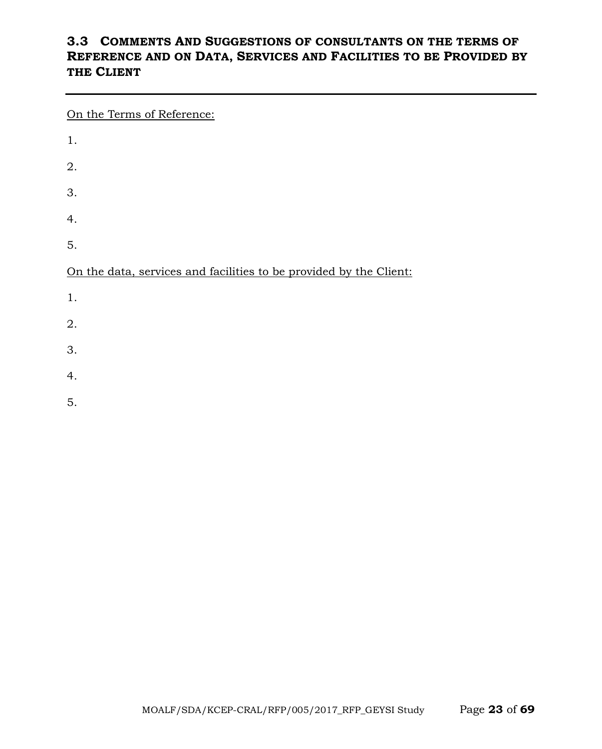# **3.3 COMMENTS AND SUGGESTIONS OF CONSULTANTS ON THE TERMS OF REFERENCE AND ON DATA, SERVICES AND FACILITIES TO BE PROVIDED BY THE CLIENT**

On the Terms of Reference:

| 1.                                                                 |  |
|--------------------------------------------------------------------|--|
| 2.                                                                 |  |
| 3.                                                                 |  |
| 4.                                                                 |  |
| 5.                                                                 |  |
|                                                                    |  |
| On the data, services and facilities to be provided by the Client: |  |
| 1.                                                                 |  |
| 2.                                                                 |  |
| 3.                                                                 |  |
| 4.                                                                 |  |

5.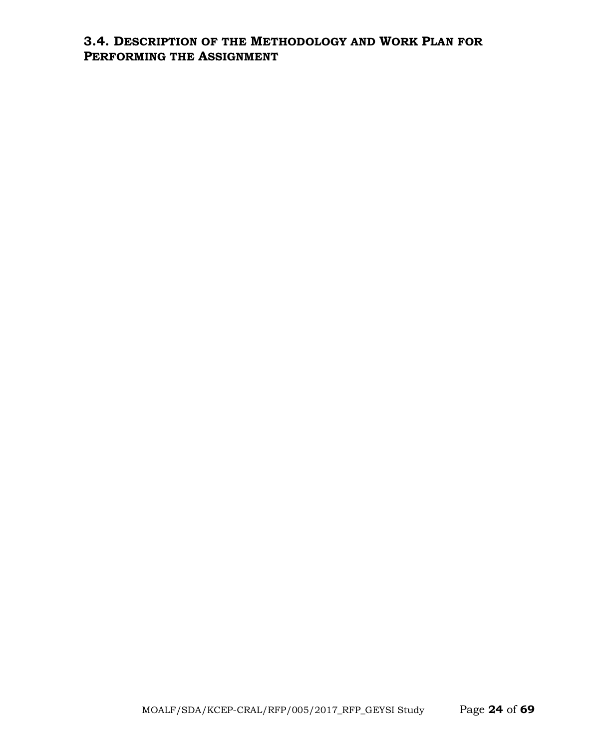# **3.4. DESCRIPTION OF THE METHODOLOGY AND WORK PLAN FOR PERFORMING THE ASSIGNMENT**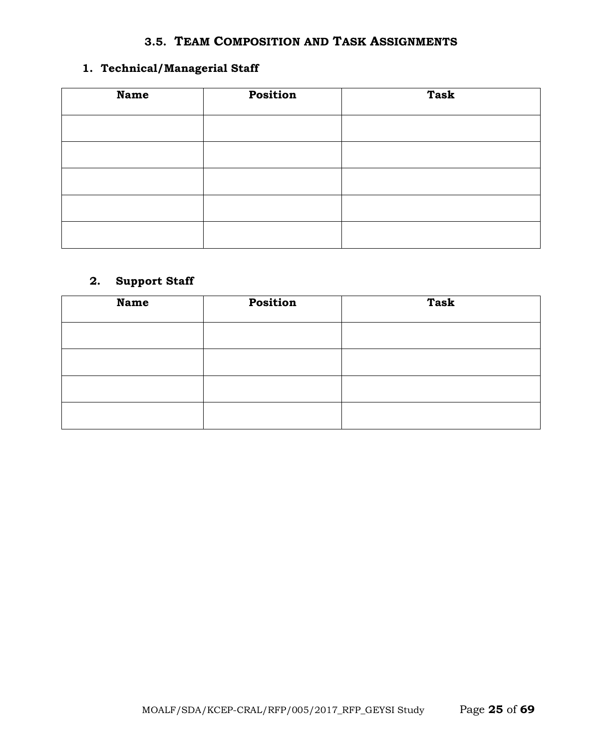#### **3.5. TEAM COMPOSITION AND TASK ASSIGNMENTS**

# **1. Technical/Managerial Staff**

| <b>Name</b> | Position | <b>Task</b> |
|-------------|----------|-------------|
|             |          |             |
|             |          |             |
|             |          |             |
|             |          |             |
|             |          |             |

# **2. Support Staff**

| <b>Name</b> | Position | <b>Task</b> |
|-------------|----------|-------------|
|             |          |             |
|             |          |             |
|             |          |             |
|             |          |             |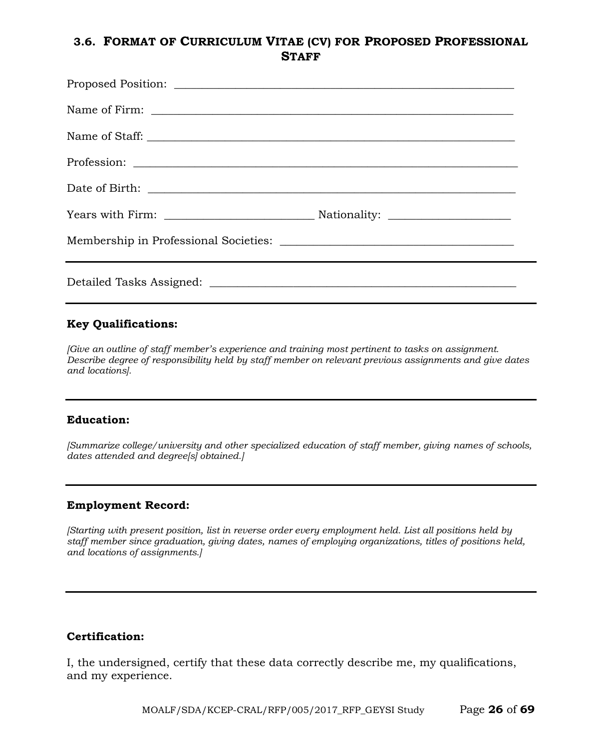# **3.6. FORMAT OF CURRICULUM VITAE (CV) FOR PROPOSED PROFESSIONAL STAFF**

#### **Key Qualifications:**

*[Give an outline of staff member's experience and training most pertinent to tasks on assignment. Describe degree of responsibility held by staff member on relevant previous assignments and give dates and locations].*

#### **Education:**

*[Summarize college/university and other specialized education of staff member, giving names of schools, dates attended and degree[s] obtained.]*

#### **Employment Record:**

*[Starting with present position, list in reverse order every employment held. List all positions held by staff member since graduation, giving dates, names of employing organizations, titles of positions held, and locations of assignments.]*

#### **Certification:**

I, the undersigned, certify that these data correctly describe me, my qualifications, and my experience.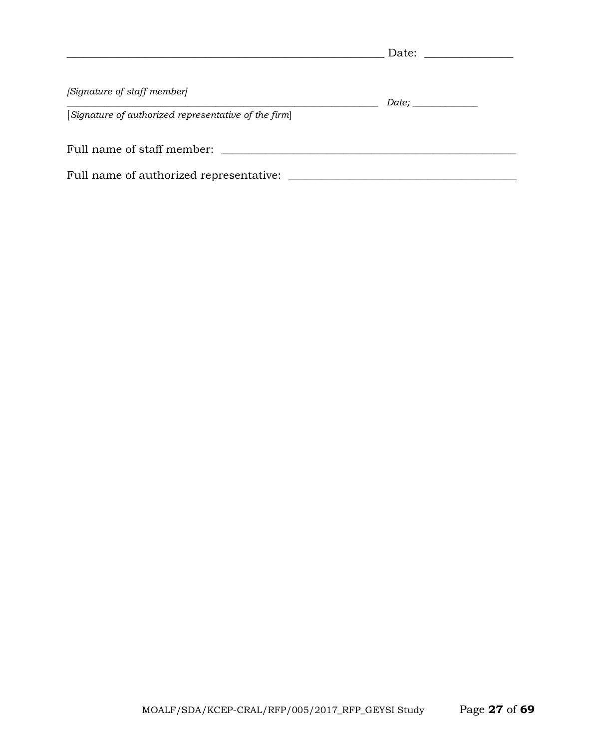|                                                      | Date: |  |
|------------------------------------------------------|-------|--|
| [Signature of staff member]                          |       |  |
| [Signature of authorized representative of the firm] | Date; |  |
| Full name of staff member:                           |       |  |
| Full name of authorized representative:              |       |  |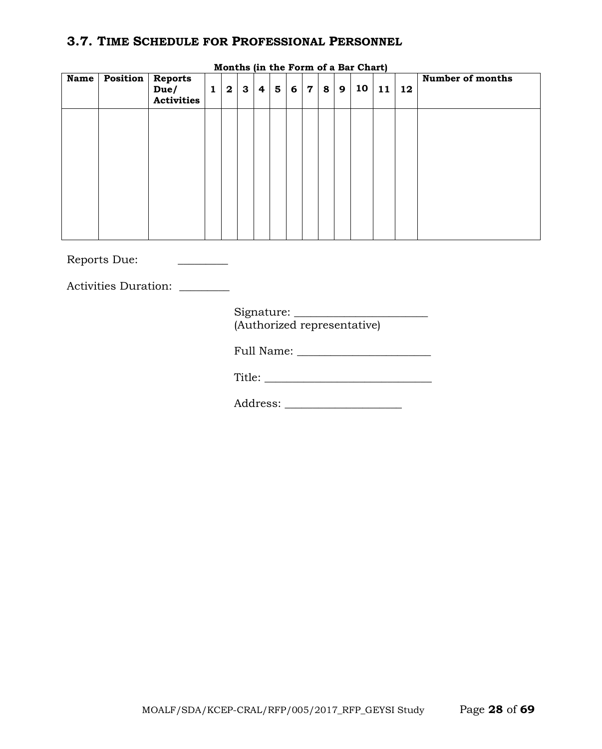# **3.7. TIME SCHEDULE FOR PROFESSIONAL PERSONNEL**

| <b>Name</b> | <b>Position</b> | <b>Reports</b><br>Due/<br><b>Activities</b> | $\mathbf{1}$ | $\mathbf{2}$ | $\mathbf{3}$ | $\overline{\mathbf{4}}$ | $5\phantom{1}$ | 6 | $\mathbf 7$ | 8 | 9 | 10 | 11 | 12 | Number of months |
|-------------|-----------------|---------------------------------------------|--------------|--------------|--------------|-------------------------|----------------|---|-------------|---|---|----|----|----|------------------|
|             |                 |                                             |              |              |              |                         |                |   |             |   |   |    |    |    |                  |
|             |                 |                                             |              |              |              |                         |                |   |             |   |   |    |    |    |                  |
|             |                 |                                             |              |              |              |                         |                |   |             |   |   |    |    |    |                  |
|             |                 |                                             |              |              |              |                         |                |   |             |   |   |    |    |    |                  |

**Months (in the Form of a Bar Chart)**

Reports Due: \_\_\_\_\_\_\_\_\_

Activities Duration:

| Signature: |                             |
|------------|-----------------------------|
|            | (Authorized representative) |

Full Name: \_\_\_\_\_\_\_\_\_\_\_\_\_\_\_\_\_\_\_\_\_\_\_\_

Title: \_\_\_\_\_\_\_\_\_\_\_\_\_\_\_\_\_\_\_\_\_\_\_\_\_\_\_\_\_\_

Address: \_\_\_\_\_\_\_\_\_\_\_\_\_\_\_\_\_\_\_\_\_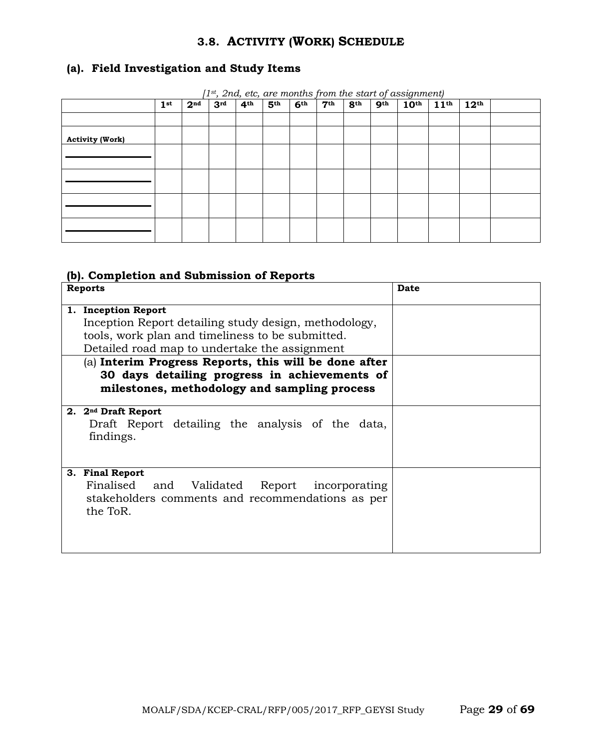# **3.8. ACTIVITY (WORK) SCHEDULE**

# **(a). Field Investigation and Study Items**

|                        | $\left(1^{\text{st}},2n\right)$ etc, are months from the start of assignment) |                 |                 |                 |                 |                 |                 |                 |                 |                  |                  |                  |  |
|------------------------|-------------------------------------------------------------------------------|-----------------|-----------------|-----------------|-----------------|-----------------|-----------------|-----------------|-----------------|------------------|------------------|------------------|--|
|                        | 1 <sup>st</sup>                                                               | 2 <sup>nd</sup> | 3 <sup>rd</sup> | 4 <sup>th</sup> | 5 <sup>th</sup> | 6 <sup>th</sup> | 7 <sup>th</sup> | 8 <sup>th</sup> | 9 <sup>th</sup> | 10 <sup>th</sup> | 11 <sup>th</sup> | 12 <sup>th</sup> |  |
|                        |                                                                               |                 |                 |                 |                 |                 |                 |                 |                 |                  |                  |                  |  |
| <b>Activity (Work)</b> |                                                                               |                 |                 |                 |                 |                 |                 |                 |                 |                  |                  |                  |  |
|                        |                                                                               |                 |                 |                 |                 |                 |                 |                 |                 |                  |                  |                  |  |
|                        |                                                                               |                 |                 |                 |                 |                 |                 |                 |                 |                  |                  |                  |  |
|                        |                                                                               |                 |                 |                 |                 |                 |                 |                 |                 |                  |                  |                  |  |
|                        |                                                                               |                 |                 |                 |                 |                 |                 |                 |                 |                  |                  |                  |  |
|                        |                                                                               |                 |                 |                 |                 |                 |                 |                 |                 |                  |                  |                  |  |
|                        |                                                                               |                 |                 |                 |                 |                 |                 |                 |                 |                  |                  |                  |  |
|                        |                                                                               |                 |                 |                 |                 |                 |                 |                 |                 |                  |                  |                  |  |

*[1st, 2nd, etc, are months from the start of assignment)*

#### **(b). Completion and Submission of Reports**

| <b>Reports</b>                                                                                                                                                                                                                                                                                                                              | <b>Date</b> |
|---------------------------------------------------------------------------------------------------------------------------------------------------------------------------------------------------------------------------------------------------------------------------------------------------------------------------------------------|-------------|
| 1. Inception Report<br>Inception Report detailing study design, methodology,<br>tools, work plan and timeliness to be submitted.<br>Detailed road map to undertake the assignment<br>(a) Interim Progress Reports, this will be done after<br>30 days detailing progress in achievements of<br>milestones, methodology and sampling process |             |
| 2. 2 <sup>nd</sup> Draft Report<br>Draft Report detailing the analysis of the data,<br>findings.                                                                                                                                                                                                                                            |             |
| 3. Final Report<br>Finalised<br>Validated Report incorporating<br>and<br>stakeholders comments and recommendations as per<br>the ToR.                                                                                                                                                                                                       |             |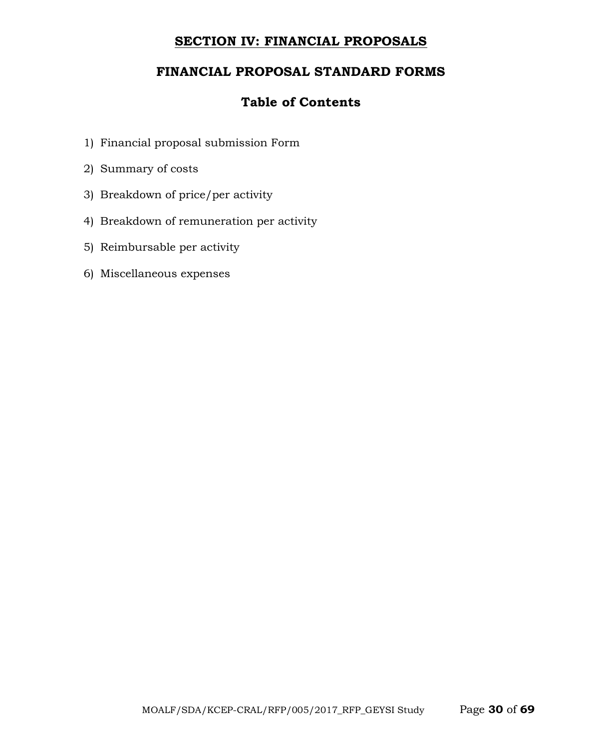# **SECTION IV: FINANCIAL PROPOSALS**

# **FINANCIAL PROPOSAL STANDARD FORMS**

# **Table of Contents**

- 1) Financial proposal submission Form
- 2) Summary of costs
- 3) Breakdown of price/per activity
- 4) Breakdown of remuneration per activity
- 5) Reimbursable per activity
- 6) Miscellaneous expenses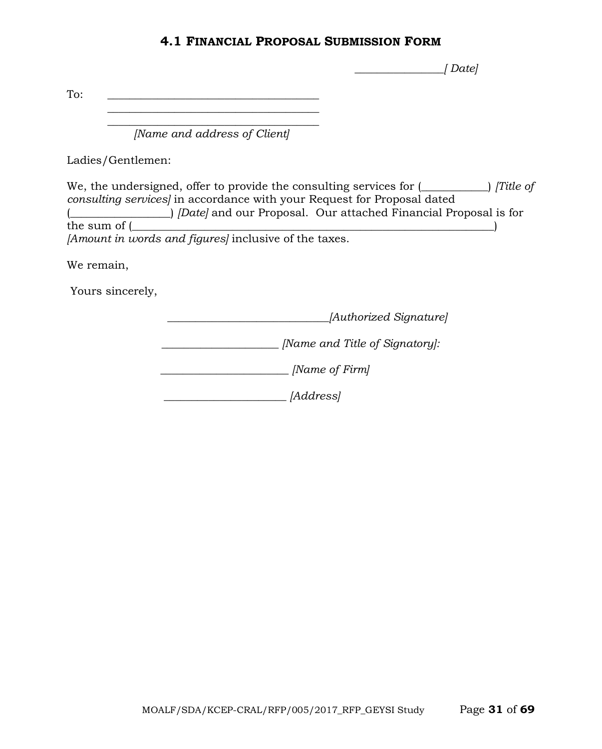#### **4.1 FINANCIAL PROPOSAL SUBMISSION FORM**

 *\_\_\_\_\_\_\_\_\_\_\_\_\_\_\_\_[ Date]*

To:  $\qquad \qquad \qquad$ 

 $\overline{\phantom{a}}$  , where the contract of the contract of the contract of the contract of the contract of the contract of the contract of the contract of the contract of the contract of the contract of the contract of the contr *[Name and address of Client]*

 $\mathcal{L}_\text{max}$  and  $\mathcal{L}_\text{max}$  and  $\mathcal{L}_\text{max}$  and  $\mathcal{L}_\text{max}$ 

Ladies/Gentlemen:

We, the undersigned, offer to provide the consulting services for (\_\_\_\_\_\_\_\_\_\_\_\_) *[Title of consulting services]* in accordance with your Request for Proposal dated (\_\_\_\_\_\_\_\_\_\_\_\_\_\_\_\_\_\_) *[Date]* and our Proposal. Our attached Financial Proposal is for the sum of (  $_\mathrm{eff}$  ) and (  $_\mathrm{eff}$  ) and (  $_\mathrm{eff}$  ) and (  $_\mathrm{eff}$  ) and (  $_\mathrm{eff}$ *[Amount in words and figures]* inclusive of the taxes.

We remain,

Yours sincerely,

 *\_\_\_\_\_\_\_\_\_\_\_\_\_\_\_\_\_\_\_\_\_\_\_\_\_\_\_\_\_[Authorized Signature]*

*\_\_\_\_\_\_\_\_\_\_\_\_\_\_\_\_\_\_\_\_\_ [Name and Title of Signatory]:*

 *\_\_\_\_\_\_\_\_\_\_\_\_\_\_\_\_\_\_\_\_\_\_\_ [Name of Firm]*

 *\_\_\_\_\_\_\_\_\_\_\_\_\_\_\_\_\_\_\_\_\_\_ [Address]*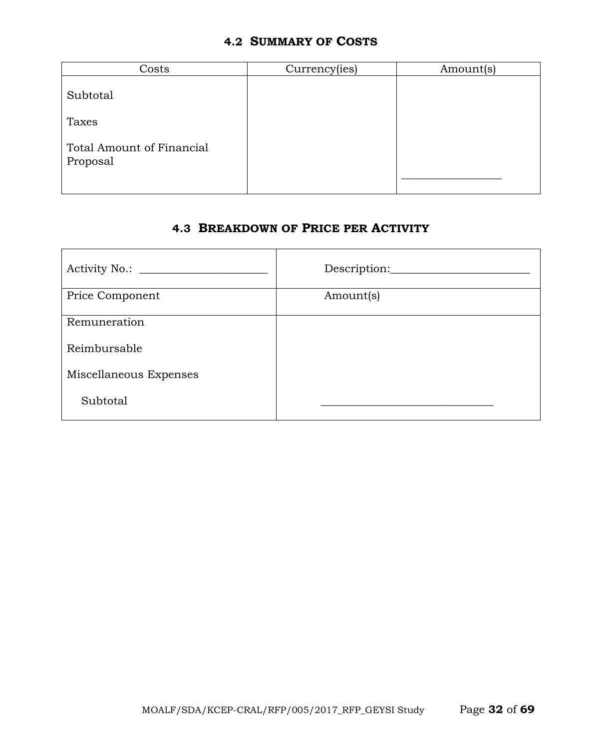#### **4.2 SUMMARY OF COSTS**

| Costs                                        | Currency(ies) | Amount(s) |
|----------------------------------------------|---------------|-----------|
| Subtotal                                     |               |           |
| Taxes                                        |               |           |
| <b>Total Amount of Financial</b><br>Proposal |               |           |

# **4.3 BREAKDOWN OF PRICE PER ACTIVITY**

|                        | Description: |
|------------------------|--------------|
| Price Component        | Amount(s)    |
| Remuneration           |              |
| Reimbursable           |              |
| Miscellaneous Expenses |              |
| Subtotal               |              |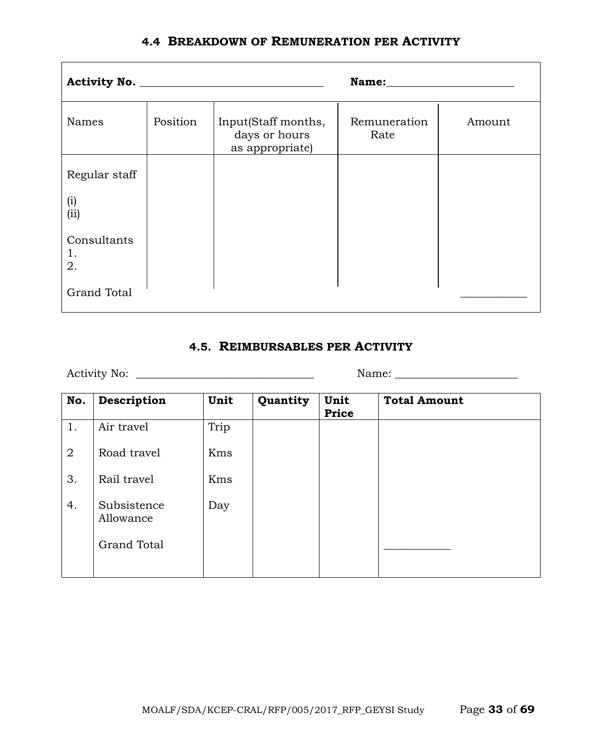|  |  | <b>4.4 BREAKDOWN OF REMUNERATION PER ACTIVITY</b> |  |
|--|--|---------------------------------------------------|--|
|--|--|---------------------------------------------------|--|

|                         |          |                                                         | Name:                |        |
|-------------------------|----------|---------------------------------------------------------|----------------------|--------|
| Names                   | Position | Input(Staff months,<br>days or hours<br>as appropriate) | Remuneration<br>Rate | Amount |
| Regular staff           |          |                                                         |                      |        |
| (i)<br>(ii)             |          |                                                         |                      |        |
| Consultants<br>1.<br>2. |          |                                                         |                      |        |
| <b>Grand Total</b>      |          |                                                         |                      |        |

# **4.5. REIMBURSABLES PER ACTIVITY**

Activity No: \_\_\_\_\_\_\_\_\_\_\_\_\_\_\_\_\_\_\_\_\_\_\_\_\_\_\_\_\_\_\_\_ Name: \_\_\_\_\_\_\_\_\_\_\_\_\_\_\_\_\_\_\_\_\_\_

| No.            | Description              | Unit | Quantity | Unit<br>Price | <b>Total Amount</b> |
|----------------|--------------------------|------|----------|---------------|---------------------|
| 1.             | Air travel               | Trip |          |               |                     |
| $\overline{2}$ | Road travel              | Kms  |          |               |                     |
| 3.             | Rail travel              | Kms  |          |               |                     |
| 4.             | Subsistence<br>Allowance | Day  |          |               |                     |
|                | <b>Grand Total</b>       |      |          |               |                     |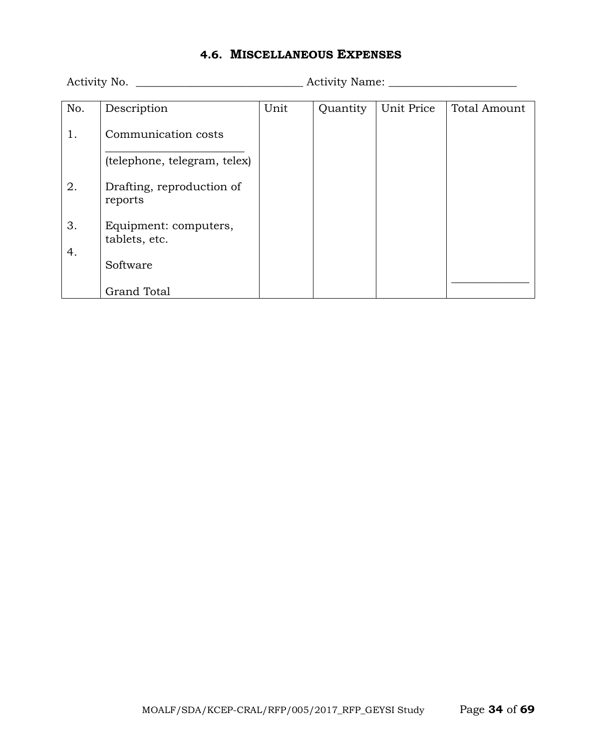# **4.6. MISCELLANEOUS EXPENSES**

Activity No. \_\_\_\_\_\_\_\_\_\_\_\_\_\_\_\_\_\_\_\_\_\_\_\_\_\_\_\_\_\_ Activity Name: \_\_\_\_\_\_\_\_\_\_\_\_\_\_\_\_\_\_\_\_\_\_\_

| No. | Description                  | Unit | Quantity | Unit Price | <b>Total Amount</b> |
|-----|------------------------------|------|----------|------------|---------------------|
|     |                              |      |          |            |                     |
| 1.  | Communication costs          |      |          |            |                     |
|     |                              |      |          |            |                     |
|     |                              |      |          |            |                     |
|     | (telephone, telegram, telex) |      |          |            |                     |
|     |                              |      |          |            |                     |
| 2.  | Drafting, reproduction of    |      |          |            |                     |
|     |                              |      |          |            |                     |
|     | reports                      |      |          |            |                     |
|     |                              |      |          |            |                     |
| 3.  | Equipment: computers,        |      |          |            |                     |
|     | tablets, etc.                |      |          |            |                     |
|     |                              |      |          |            |                     |
| 4.  |                              |      |          |            |                     |
|     | Software                     |      |          |            |                     |
|     |                              |      |          |            |                     |
|     | <b>Grand Total</b>           |      |          |            |                     |
|     |                              |      |          |            |                     |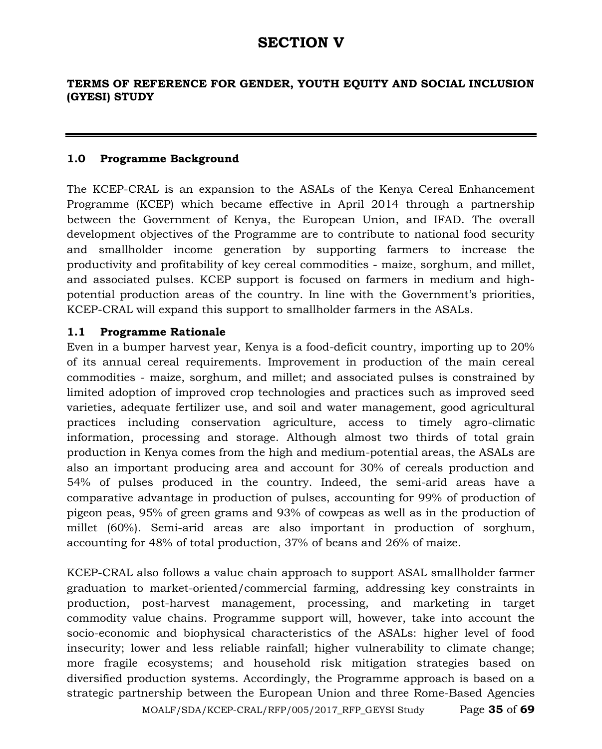# **SECTION V**

#### **TERMS OF REFERENCE FOR GENDER, YOUTH EQUITY AND SOCIAL INCLUSION (GYESI) STUDY**

#### **1.0 Programme Background**

The KCEP-CRAL is an expansion to the ASALs of the Kenya Cereal Enhancement Programme (KCEP) which became effective in April 2014 through a partnership between the Government of Kenya, the European Union, and IFAD. The overall development objectives of the Programme are to contribute to national food security and smallholder income generation by supporting farmers to increase the productivity and profitability of key cereal commodities - maize, sorghum, and millet, and associated pulses. KCEP support is focused on farmers in medium and highpotential production areas of the country. In line with the Government's priorities, KCEP-CRAL will expand this support to smallholder farmers in the ASALs.

#### **1.1 Programme Rationale**

Even in a bumper harvest year, Kenya is a food-deficit country, importing up to 20% of its annual cereal requirements. Improvement in production of the main cereal commodities - maize, sorghum, and millet; and associated pulses is constrained by limited adoption of improved crop technologies and practices such as improved seed varieties, adequate fertilizer use, and soil and water management, good agricultural practices including conservation agriculture, access to timely agro-climatic information, processing and storage. Although almost two thirds of total grain production in Kenya comes from the high and medium-potential areas, the ASALs are also an important producing area and account for 30% of cereals production and 54% of pulses produced in the country. Indeed, the semi-arid areas have a comparative advantage in production of pulses, accounting for 99% of production of pigeon peas, 95% of green grams and 93% of cowpeas as well as in the production of millet (60%). Semi-arid areas are also important in production of sorghum, accounting for 48% of total production, 37% of beans and 26% of maize.

KCEP-CRAL also follows a value chain approach to support ASAL smallholder farmer graduation to market-oriented/commercial farming, addressing key constraints in production, post-harvest management, processing, and marketing in target commodity value chains. Programme support will, however, take into account the socio-economic and biophysical characteristics of the ASALs: higher level of food insecurity; lower and less reliable rainfall; higher vulnerability to climate change; more fragile ecosystems; and household risk mitigation strategies based on diversified production systems. Accordingly, the Programme approach is based on a strategic partnership between the European Union and three Rome-Based Agencies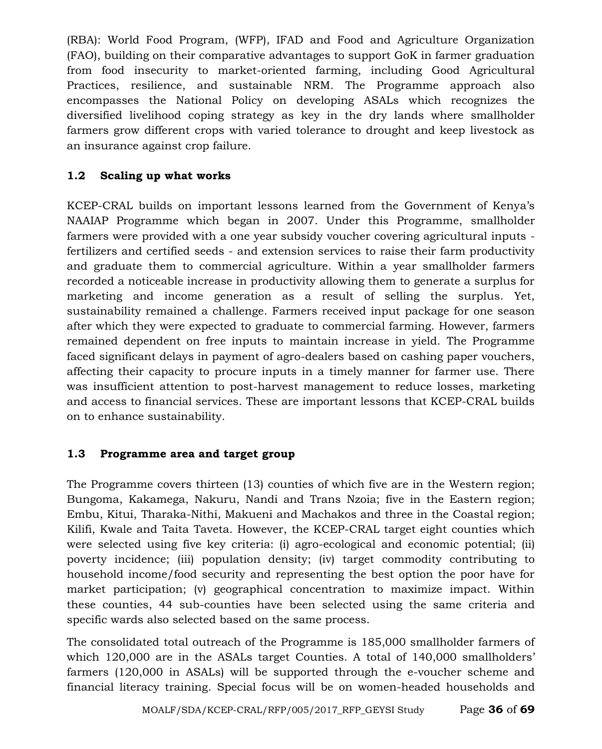(RBA): World Food Program, (WFP), IFAD and Food and Agriculture Organization (FAO), building on their comparative advantages to support GoK in farmer graduation from food insecurity to market-oriented farming, including Good Agricultural Practices, resilience, and sustainable NRM. The Programme approach also encompasses the National Policy on developing ASALs which recognizes the diversified livelihood coping strategy as key in the dry lands where smallholder farmers grow different crops with varied tolerance to drought and keep livestock as an insurance against crop failure.

# **1.2 Scaling up what works**

KCEP-CRAL builds on important lessons learned from the Government of Kenya's NAAIAP Programme which began in 2007. Under this Programme, smallholder farmers were provided with a one year subsidy voucher covering agricultural inputs fertilizers and certified seeds - and extension services to raise their farm productivity and graduate them to commercial agriculture. Within a year smallholder farmers recorded a noticeable increase in productivity allowing them to generate a surplus for marketing and income generation as a result of selling the surplus. Yet, sustainability remained a challenge. Farmers received input package for one season after which they were expected to graduate to commercial farming. However, farmers remained dependent on free inputs to maintain increase in yield. The Programme faced significant delays in payment of agro-dealers based on cashing paper vouchers, affecting their capacity to procure inputs in a timely manner for farmer use. There was insufficient attention to post-harvest management to reduce losses, marketing and access to financial services. These are important lessons that KCEP-CRAL builds on to enhance sustainability.

# **1.3 Programme area and target group**

The Programme covers thirteen (13) counties of which five are in the Western region; Bungoma, Kakamega, Nakuru, Nandi and Trans Nzoia; five in the Eastern region; Embu, Kitui, Tharaka-Nithi, Makueni and Machakos and three in the Coastal region; Kilifi, Kwale and Taita Taveta. However, the KCEP-CRAL target eight counties which were selected using five key criteria: (i) agro-ecological and economic potential; (ii) poverty incidence; (iii) population density; (iv) target commodity contributing to household income/food security and representing the best option the poor have for market participation; (v) geographical concentration to maximize impact. Within these counties, 44 sub-counties have been selected using the same criteria and specific wards also selected based on the same process.

The consolidated total outreach of the Programme is 185,000 smallholder farmers of which 120,000 are in the ASALs target Counties. A total of 140,000 smallholders' farmers (120,000 in ASALs) will be supported through the e-voucher scheme and financial literacy training. Special focus will be on women-headed households and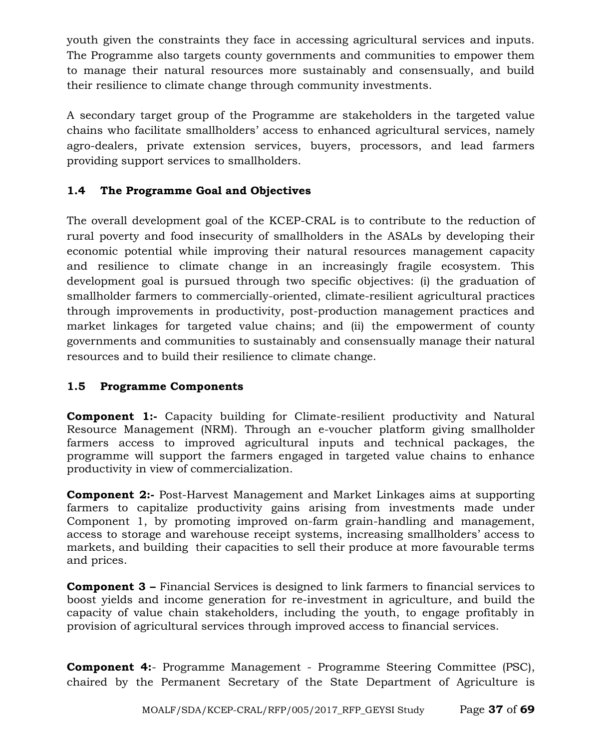youth given the constraints they face in accessing agricultural services and inputs. The Programme also targets county governments and communities to empower them to manage their natural resources more sustainably and consensually, and build their resilience to climate change through community investments.

A secondary target group of the Programme are stakeholders in the targeted value chains who facilitate smallholders' access to enhanced agricultural services, namely agro-dealers, private extension services, buyers, processors, and lead farmers providing support services to smallholders.

# **1.4 The Programme Goal and Objectives**

The overall development goal of the KCEP-CRAL is to contribute to the reduction of rural poverty and food insecurity of smallholders in the ASALs by developing their economic potential while improving their natural resources management capacity and resilience to climate change in an increasingly fragile ecosystem. This development goal is pursued through two specific objectives: (i) the graduation of smallholder farmers to commercially-oriented, climate-resilient agricultural practices through improvements in productivity, post-production management practices and market linkages for targeted value chains; and (ii) the empowerment of county governments and communities to sustainably and consensually manage their natural resources and to build their resilience to climate change.

# **1.5 Programme Components**

**Component 1:-** Capacity building for Climate-resilient productivity and Natural Resource Management (NRM). Through an e-voucher platform giving smallholder farmers access to improved agricultural inputs and technical packages, the programme will support the farmers engaged in targeted value chains to enhance productivity in view of commercialization.

**Component 2:-** Post-Harvest Management and Market Linkages aims at supporting farmers to capitalize productivity gains arising from investments made under Component 1, by promoting improved on-farm grain-handling and management, access to storage and warehouse receipt systems, increasing smallholders' access to markets, and building their capacities to sell their produce at more favourable terms and prices.

**Component 3 –** Financial Services is designed to link farmers to financial services to boost yields and income generation for re-investment in agriculture, and build the capacity of value chain stakeholders, including the youth, to engage profitably in provision of agricultural services through improved access to financial services.

**Component 4:**- Programme Management - Programme Steering Committee (PSC), chaired by the Permanent Secretary of the State Department of Agriculture is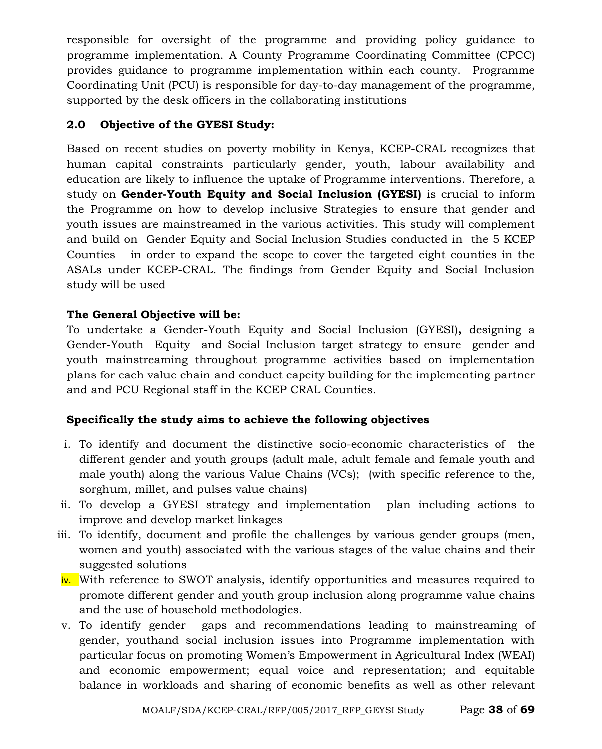responsible for oversight of the programme and providing policy guidance to programme implementation. A County Programme Coordinating Committee (CPCC) provides guidance to programme implementation within each county. Programme Coordinating Unit (PCU) is responsible for day-to-day management of the programme, supported by the desk officers in the collaborating institutions

# **2.0 Objective of the GYESI Study:**

Based on recent studies on poverty mobility in Kenya, KCEP-CRAL recognizes that human capital constraints particularly gender, youth, labour availability and education are likely to influence the uptake of Programme interventions. Therefore, a study on **Gender-Youth Equity and Social Inclusion (GYESI)** is crucial to inform the Programme on how to develop inclusive Strategies to ensure that gender and youth issues are mainstreamed in the various activities. This study will complement and build on Gender Equity and Social Inclusion Studies conducted in the 5 KCEP Counties in order to expand the scope to cover the targeted eight counties in the ASALs under KCEP-CRAL. The findings from Gender Equity and Social Inclusion study will be used

# **The General Objective will be:**

To undertake a Gender-Youth Equity and Social Inclusion (GYESI)**,** designing a Gender-Youth Equity and Social Inclusion target strategy to ensure gender and youth mainstreaming throughout programme activities based on implementation plans for each value chain and conduct capcity building for the implementing partner and and PCU Regional staff in the KCEP CRAL Counties.

# **Specifically the study aims to achieve the following objectives**

- i. To identify and document the distinctive socio-economic characteristics of the different gender and youth groups (adult male, adult female and female youth and male youth) along the various Value Chains (VCs); (with specific reference to the, sorghum, millet, and pulses value chains)
- ii. To develop a GYESI strategy and implementation plan including actions to improve and develop market linkages
- iii. To identify, document and profile the challenges by various gender groups (men, women and youth) associated with the various stages of the value chains and their suggested solutions
- iv. With reference to SWOT analysis, identify opportunities and measures required to promote different gender and youth group inclusion along programme value chains and the use of household methodologies.
- v. To identify gender gaps and recommendations leading to mainstreaming of gender, youthand social inclusion issues into Programme implementation with particular focus on promoting Women's Empowerment in Agricultural Index (WEAI) and economic empowerment; equal voice and representation; and equitable balance in workloads and sharing of economic benefits as well as other relevant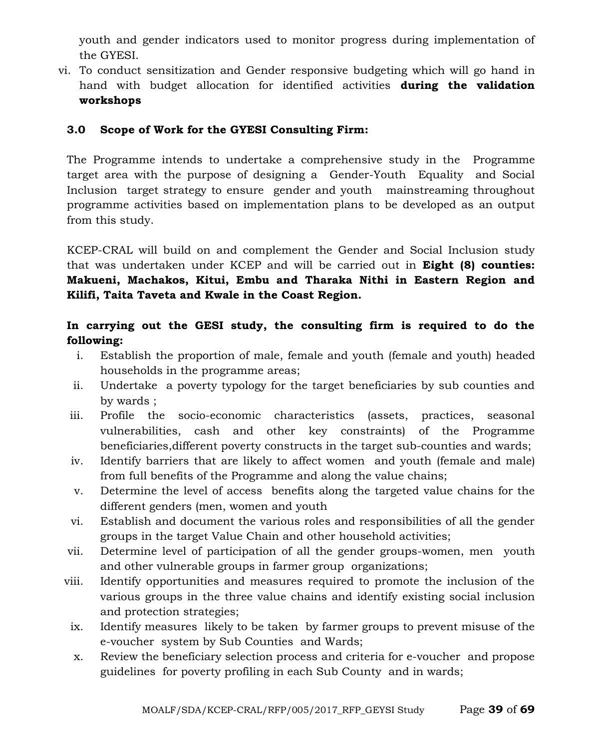youth and gender indicators used to monitor progress during implementation of the GYESI.

vi. To conduct sensitization and Gender responsive budgeting which will go hand in hand with budget allocation for identified activities **during the validation workshops**

#### **3.0 Scope of Work for the GYESI Consulting Firm:**

The Programme intends to undertake a comprehensive study in the Programme target area with the purpose of designing a Gender-Youth Equality and Social Inclusion target strategy to ensure gender and youth mainstreaming throughout programme activities based on implementation plans to be developed as an output from this study.

KCEP-CRAL will build on and complement the Gender and Social Inclusion study that was undertaken under KCEP and will be carried out in **Eight (8) counties: Makueni, Machakos, Kitui, Embu and Tharaka Nithi in Eastern Region and Kilifi, Taita Taveta and Kwale in the Coast Region.**

# **In carrying out the GESI study, the consulting firm is required to do the following:**

- i. Establish the proportion of male, female and youth (female and youth) headed households in the programme areas;
- ii. Undertake a poverty typology for the target beneficiaries by sub counties and by wards ;
- iii. Profile the socio-economic characteristics (assets, practices, seasonal vulnerabilities, cash and other key constraints) of the Programme beneficiaries,different poverty constructs in the target sub-counties and wards;
- iv. Identify barriers that are likely to affect women and youth (female and male) from full benefits of the Programme and along the value chains;
- v. Determine the level of access benefits along the targeted value chains for the different genders (men, women and youth
- vi. Establish and document the various roles and responsibilities of all the gender groups in the target Value Chain and other household activities;
- vii. Determine level of participation of all the gender groups-women, men youth and other vulnerable groups in farmer group organizations;
- viii. Identify opportunities and measures required to promote the inclusion of the various groups in the three value chains and identify existing social inclusion and protection strategies;
- ix. Identify measures likely to be taken by farmer groups to prevent misuse of the e-voucher system by Sub Counties and Wards;
- x. Review the beneficiary selection process and criteria for e-voucher and propose guidelines for poverty profiling in each Sub County and in wards;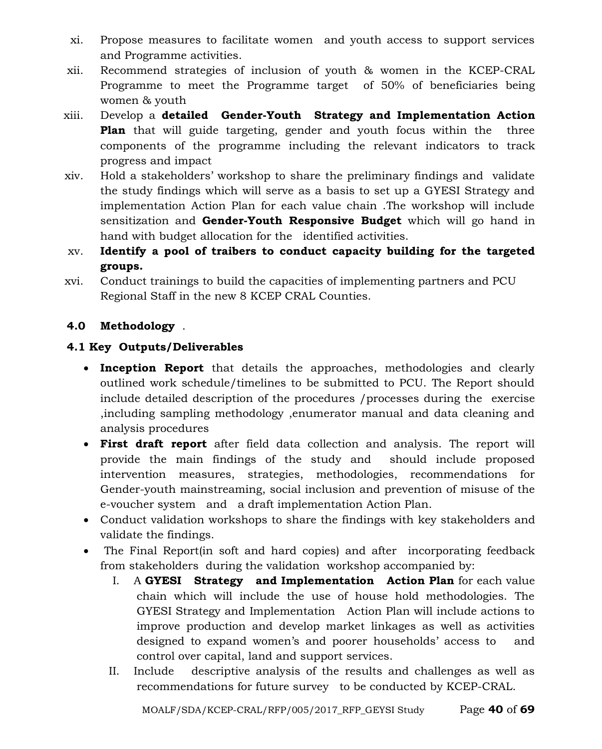- xi. Propose measures to facilitate women and youth access to support services and Programme activities.
- xii. Recommend strategies of inclusion of youth & women in the KCEP-CRAL Programme to meet the Programme target of 50% of beneficiaries being women & youth
- xiii. Develop a **detailed Gender-Youth Strategy and Implementation Action Plan** that will guide targeting, gender and youth focus within the three components of the programme including the relevant indicators to track progress and impact
- xiv. Hold a stakeholders' workshop to share the preliminary findings and validate the study findings which will serve as a basis to set up a GYESI Strategy and implementation Action Plan for each value chain .The workshop will include sensitization and **Gender-Youth Responsive Budget** which will go hand in hand with budget allocation for the identified activities.
- xv. **Identify a pool of traibers to conduct capacity building for the targeted groups.**
- xvi. Conduct trainings to build the capacities of implementing partners and PCU Regional Staff in the new 8 KCEP CRAL Counties.

# **4.0 Methodology** .

# **4.1 Key Outputs/Deliverables**

- **Inception Report** that details the approaches, methodologies and clearly outlined work schedule/timelines to be submitted to PCU. The Report should include detailed description of the procedures /processes during the exercise ,including sampling methodology ,enumerator manual and data cleaning and analysis procedures
- **First draft report** after field data collection and analysis. The report will provide the main findings of the study and should include proposed intervention measures, strategies, methodologies, recommendations for Gender-youth mainstreaming, social inclusion and prevention of misuse of the e-voucher system and a draft implementation Action Plan.
- Conduct validation workshops to share the findings with key stakeholders and validate the findings.
- The Final Report (in soft and hard copies) and after incorporating feedback from stakeholders during the validation workshop accompanied by:
	- I. A **GYESI Strategy and Implementation Action Plan** for each value chain which will include the use of house hold methodologies. The GYESI Strategy and Implementation Action Plan will include actions to improve production and develop market linkages as well as activities designed to expand women's and poorer households' access to and control over capital, land and support services.
	- II. Include descriptive analysis of the results and challenges as well as recommendations for future survey to be conducted by KCEP-CRAL.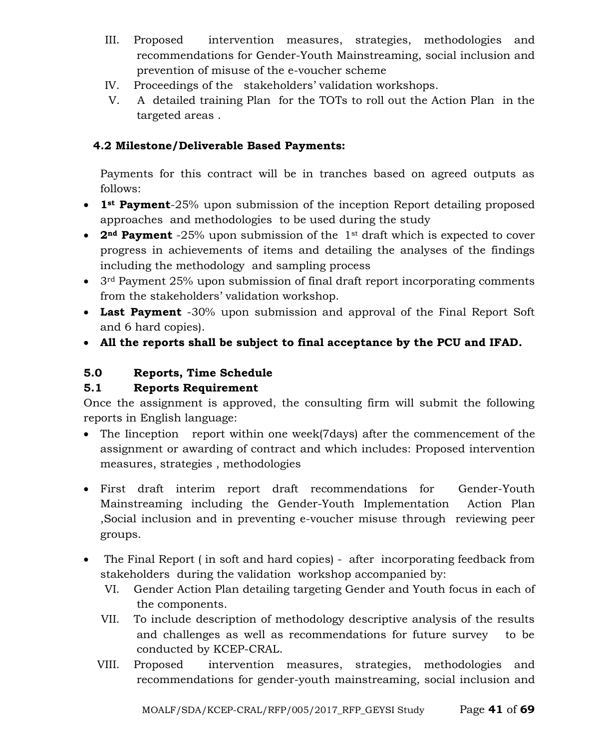- III. Proposed intervention measures, strategies, methodologies and recommendations for Gender-Youth Mainstreaming, social inclusion and prevention of misuse of the e-voucher scheme
- IV. Proceedings of the stakeholders' validation workshops.
- V. A detailed training Plan for the TOTs to roll out the Action Plan in the targeted areas .

# **4.2 Milestone/Deliverable Based Payments:**

Payments for this contract will be in tranches based on agreed outputs as follows:

- **1st Payment**-25% upon submission of the inception Report detailing proposed approaches and methodologies to be used during the study
- **2nd Payment** -25% upon submission of the 1st draft which is expected to cover progress in achievements of items and detailing the analyses of the findings including the methodology and sampling process
- 3<sup>rd</sup> Payment 25% upon submission of final draft report incorporating comments from the stakeholders' validation workshop.
- **Last Payment** -30% upon submission and approval of the Final Report Soft and 6 hard copies).
- **All the reports shall be subject to final acceptance by the PCU and IFAD***.*

# **5.0 Reports, Time Schedule**

# **5.1 Reports Requirement**

Once the assignment is approved, the consulting firm will submit the following reports in English language:

- The Iinception report within one week(7days) after the commencement of the assignment or awarding of contract and which includes: Proposed intervention measures, strategies , methodologies
- First draft interim report draft recommendations for Gender-Youth Mainstreaming including the Gender-Youth Implementation Action Plan ,Social inclusion and in preventing e-voucher misuse through reviewing peer groups.
- The Final Report ( in soft and hard copies) after incorporating feedback from stakeholders during the validation workshop accompanied by:
	- VI. Gender Action Plan detailing targeting Gender and Youth focus in each of the components.
	- VII. To include description of methodology descriptive analysis of the results and challenges as well as recommendations for future survey to be conducted by KCEP-CRAL.
	- VIII. Proposed intervention measures, strategies, methodologies and recommendations for gender-youth mainstreaming, social inclusion and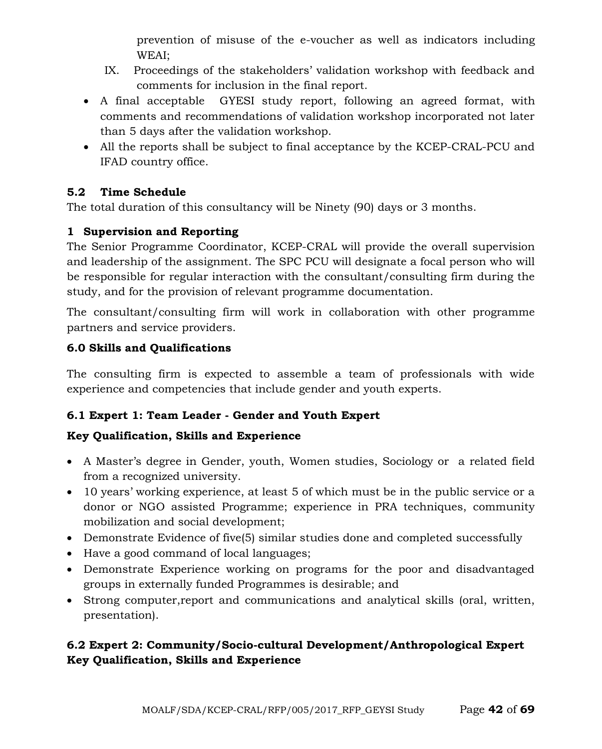prevention of misuse of the e-voucher as well as indicators including WEAI;

- IX. Proceedings of the stakeholders' validation workshop with feedback and comments for inclusion in the final report.
- A final acceptable GYESI study report, following an agreed format, with comments and recommendations of validation workshop incorporated not later than 5 days after the validation workshop.
- All the reports shall be subject to final acceptance by the KCEP-CRAL-PCU and IFAD country office.

# **5.2 Time Schedule**

The total duration of this consultancy will be Ninety (90) days or 3 months.

# **1 Supervision and Reporting**

The Senior Programme Coordinator, KCEP-CRAL will provide the overall supervision and leadership of the assignment. The SPC PCU will designate a focal person who will be responsible for regular interaction with the consultant/consulting firm during the study, and for the provision of relevant programme documentation.

The consultant/consulting firm will work in collaboration with other programme partners and service providers.

# **6.0 Skills and Qualifications**

The consulting firm is expected to assemble a team of professionals with wide experience and competencies that include gender and youth experts.

# **6.1 Expert 1: Team Leader - Gender and Youth Expert**

# **Key Qualification, Skills and Experience**

- A Master's degree in Gender, youth, Women studies, Sociology or a related field from a recognized university.
- 10 years' working experience, at least 5 of which must be in the public service or a donor or NGO assisted Programme; experience in PRA techniques, community mobilization and social development;
- Demonstrate Evidence of five(5) similar studies done and completed successfully
- Have a good command of local languages;
- Demonstrate Experience working on programs for the poor and disadvantaged groups in externally funded Programmes is desirable; and
- Strong computer,report and communications and analytical skills (oral, written, presentation).

# **6.2 Expert 2: Community/Socio-cultural Development/Anthropological Expert Key Qualification, Skills and Experience**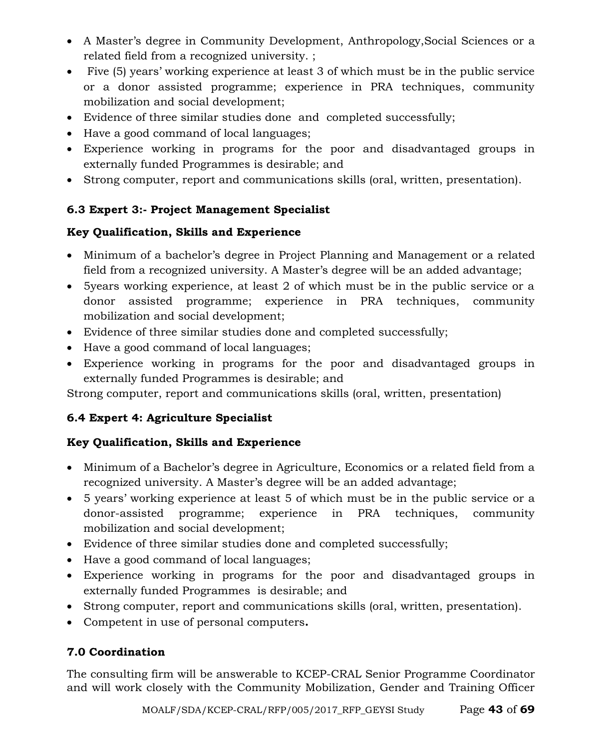- A Master's degree in Community Development, Anthropology,Social Sciences or a related field from a recognized university. ;
- Five (5) years' working experience at least 3 of which must be in the public service or a donor assisted programme; experience in PRA techniques, community mobilization and social development;
- Evidence of three similar studies done and completed successfully;
- Have a good command of local languages;
- Experience working in programs for the poor and disadvantaged groups in externally funded Programmes is desirable; and
- Strong computer, report and communications skills (oral, written, presentation).

# **6.3 Expert 3:- Project Management Specialist**

# **Key Qualification, Skills and Experience**

- Minimum of a bachelor's degree in Project Planning and Management or a related field from a recognized university. A Master's degree will be an added advantage;
- 5years working experience, at least 2 of which must be in the public service or a donor assisted programme; experience in PRA techniques, community mobilization and social development;
- Evidence of three similar studies done and completed successfully;
- Have a good command of local languages;
- Experience working in programs for the poor and disadvantaged groups in externally funded Programmes is desirable; and

Strong computer, report and communications skills (oral, written, presentation)

# **6.4 Expert 4: Agriculture Specialist**

# **Key Qualification, Skills and Experience**

- Minimum of a Bachelor's degree in Agriculture, Economics or a related field from a recognized university. A Master's degree will be an added advantage;
- 5 years' working experience at least 5 of which must be in the public service or a donor-assisted programme; experience in PRA techniques, community mobilization and social development;
- Evidence of three similar studies done and completed successfully;
- Have a good command of local languages;
- Experience working in programs for the poor and disadvantaged groups in externally funded Programmes is desirable; and
- Strong computer, report and communications skills (oral, written, presentation).
- Competent in use of personal computers**.**

# **7.0 Coordination**

The consulting firm will be answerable to KCEP-CRAL Senior Programme Coordinator and will work closely with the Community Mobilization, Gender and Training Officer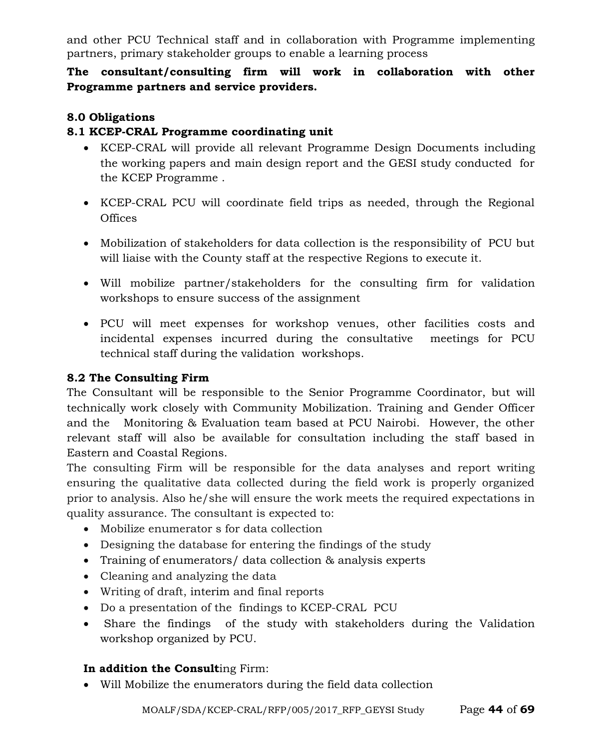and other PCU Technical staff and in collaboration with Programme implementing partners, primary stakeholder groups to enable a learning process

# **The consultant/consulting firm will work in collaboration with other Programme partners and service providers.**

#### **8.0 Obligations**

#### **8.1 KCEP-CRAL Programme coordinating unit**

- KCEP-CRAL will provide all relevant Programme Design Documents including the working papers and main design report and the GESI study conducted for the KCEP Programme .
- KCEP-CRAL PCU will coordinate field trips as needed, through the Regional **Offices**
- Mobilization of stakeholders for data collection is the responsibility of PCU but will liaise with the County staff at the respective Regions to execute it.
- Will mobilize partner/stakeholders for the consulting firm for validation workshops to ensure success of the assignment
- PCU will meet expenses for workshop venues, other facilities costs and incidental expenses incurred during the consultative meetings for PCU technical staff during the validation workshops.

#### **8.2 The Consulting Firm**

The Consultant will be responsible to the Senior Programme Coordinator, but will technically work closely with Community Mobilization. Training and Gender Officer and the Monitoring & Evaluation team based at PCU Nairobi. However, the other relevant staff will also be available for consultation including the staff based in Eastern and Coastal Regions.

The consulting Firm will be responsible for the data analyses and report writing ensuring the qualitative data collected during the field work is properly organized prior to analysis. Also he/she will ensure the work meets the required expectations in quality assurance. The consultant is expected to:

- Mobilize enumerator s for data collection
- Designing the database for entering the findings of the study
- Training of enumerators/ data collection & analysis experts
- Cleaning and analyzing the data
- Writing of draft, interim and final reports
- Do a presentation of the findings to KCEP-CRAL PCU
- Share the findings of the study with stakeholders during the Validation workshop organized by PCU.

# **In addition the Consult**ing Firm:

• Will Mobilize the enumerators during the field data collection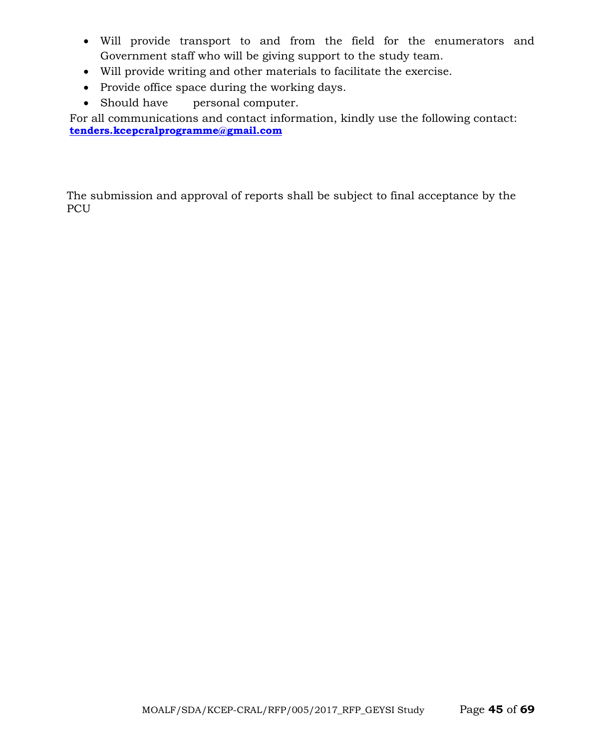- Will provide transport to and from the field for the enumerators and Government staff who will be giving support to the study team.
- Will provide writing and other materials to facilitate the exercise.
- Provide office space during the working days.
- Should have personal computer.

For all communications and contact information, kindly use the following contact: **[tenders.kcepcralprogramme@gmail.com](mailto:tenders.kcepcralprogramme@gmail.com)**

The submission and approval of reports shall be subject to final acceptance by the PCU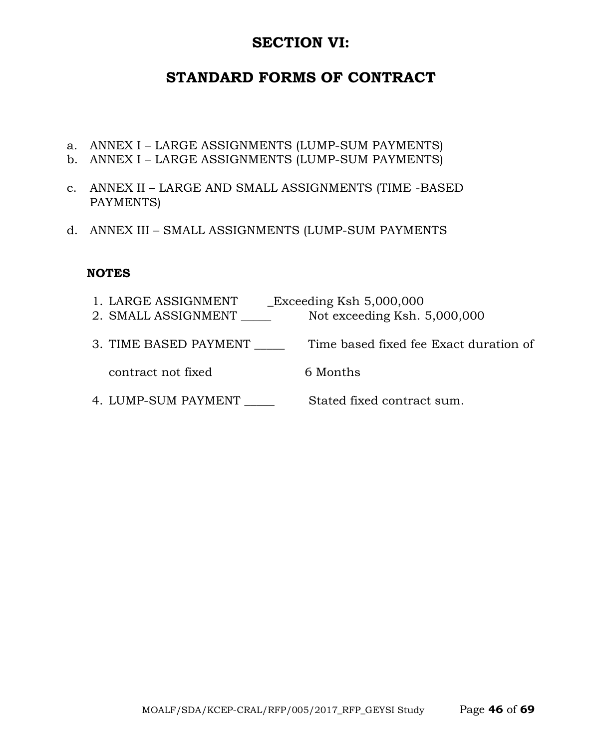# **SECTION VI:**

# **STANDARD FORMS OF CONTRACT**

- a. ANNEX I LARGE ASSIGNMENTS (LUMP-SUM PAYMENTS)
- b. ANNEX I LARGE ASSIGNMENTS (LUMP-SUM PAYMENTS)
- c. ANNEX II LARGE AND SMALL ASSIGNMENTS (TIME -BASED PAYMENTS)
- d. ANNEX III SMALL ASSIGNMENTS (LUMP-SUM PAYMENTS

#### **NOTES**

1. LARGE ASSIGNMENT \_\_Exceeding Ksh 5,000,000 2. SMALL ASSIGNMENT \_\_\_\_\_ Not exceeding Ksh. 5,000,000 3. TIME BASED PAYMENT \_\_\_\_\_ Time based fixed fee Exact duration of

contract not fixed 6 Months

4. LUMP-SUM PAYMENT Stated fixed contract sum.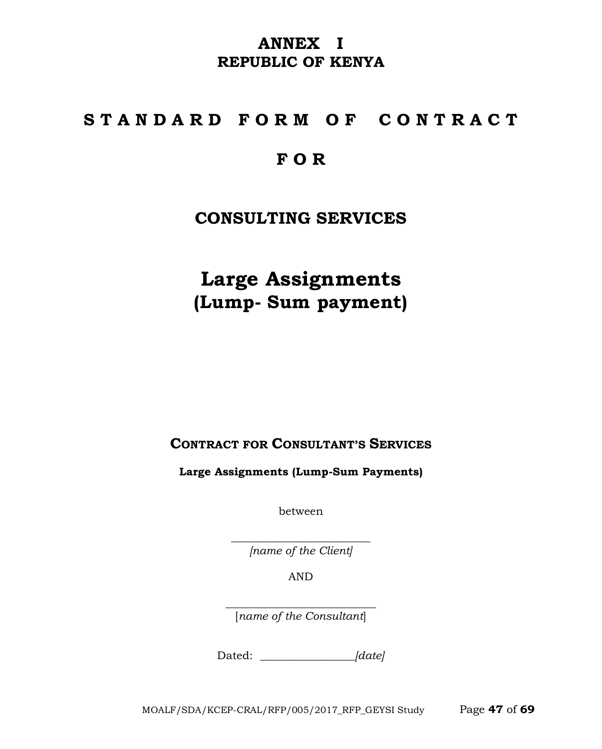# **ANNEX I REPUBLIC OF KENYA**

# **S T A N D A R D F O R M O F C O N T R A C T**

# **F O R**

# **CONSULTING SERVICES**

**Large Assignments (Lump- Sum payment)**

**CONTRACT FOR CONSULTANT'S SERVICES**

**Large Assignments (Lump-Sum Payments)**

between

\_\_\_\_\_\_\_\_\_\_\_\_\_\_\_\_\_\_\_\_\_\_\_\_\_ *[name of the Client]*

AND

\_\_\_\_\_\_\_\_\_\_\_\_\_\_\_\_\_\_\_\_\_\_\_\_\_\_\_ [*name of the Consultant*]

Dated: *\_\_\_\_\_\_\_\_\_\_\_\_\_\_\_\_\_[date]*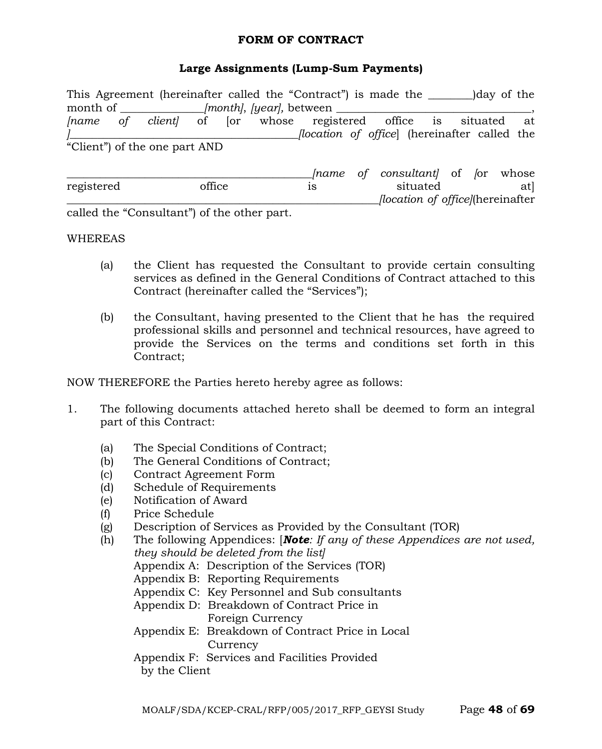#### **FORM OF CONTRACT**

#### **Large Assignments (Lump-Sum Payments)**

|            |                                            |        |  | This Agreement (hereinafter called the "Contract") is made the        |  |                                         |  | )day of the |     |
|------------|--------------------------------------------|--------|--|-----------------------------------------------------------------------|--|-----------------------------------------|--|-------------|-----|
|            |                                            |        |  |                                                                       |  |                                         |  |             |     |
|            |                                            |        |  | <i>[name of client]</i> of [or whose registered office is situated at |  |                                         |  |             |     |
|            |                                            |        |  | flocation of office (hereinafter called the                           |  |                                         |  |             |     |
|            | "Client") of the one part AND              |        |  |                                                                       |  |                                         |  |             |     |
|            |                                            |        |  |                                                                       |  | <i>Iname of consultant</i> of for whose |  |             |     |
| registered |                                            | office |  | 1S                                                                    |  | situated                                |  |             | atl |
|            |                                            |        |  |                                                                       |  | <i>location of officel</i> (hereinafter |  |             |     |
|            | called the "Consultant" of the other part. |        |  |                                                                       |  |                                         |  |             |     |

#### WHEREAS

- (a) the Client has requested the Consultant to provide certain consulting services as defined in the General Conditions of Contract attached to this Contract (hereinafter called the "Services");
- (b) the Consultant, having presented to the Client that he has the required professional skills and personnel and technical resources, have agreed to provide the Services on the terms and conditions set forth in this Contract;

NOW THEREFORE the Parties hereto hereby agree as follows:

- 1. The following documents attached hereto shall be deemed to form an integral part of this Contract:
	- (a) The Special Conditions of Contract;
	- (b) The General Conditions of Contract;
	- (c) Contract Agreement Form
	- (d) Schedule of Requirements
	- (e) Notification of Award
	- (f) Price Schedule
	- (g) Description of Services as Provided by the Consultant (TOR)
	- (h) The following Appendices: [*Note: If any of these Appendices are not used, they should be deleted from the list]* Appendix A: Description of the Services (TOR) Appendix B: Reporting Requirements Appendix C: Key Personnel and Sub consultants Appendix D: Breakdown of Contract Price in Foreign Currency Appendix E: Breakdown of Contract Price in Local **Currency** Appendix F: Services and Facilities Provided by the Client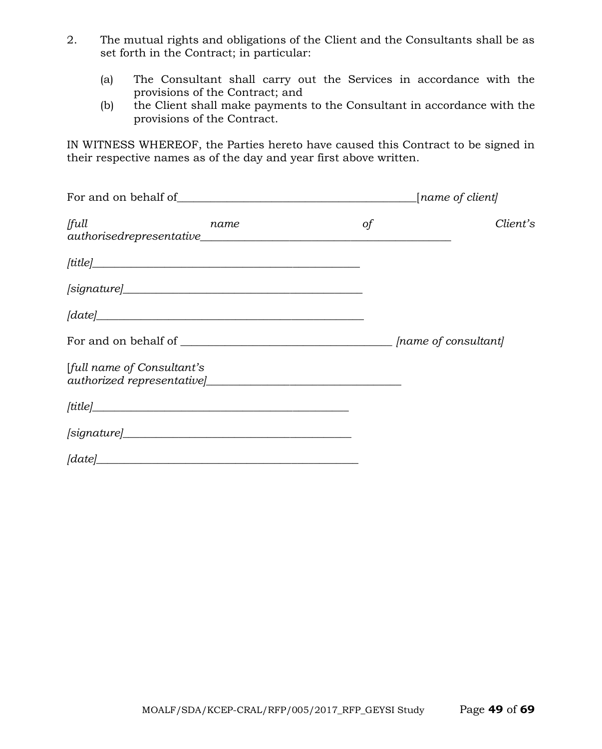- 2. The mutual rights and obligations of the Client and the Consultants shall be as set forth in the Contract; in particular:
	- (a) The Consultant shall carry out the Services in accordance with the provisions of the Contract; and
	- (b) the Client shall make payments to the Consultant in accordance with the provisions of the Contract.

IN WITNESS WHEREOF, the Parties hereto have caused this Contract to be signed in their respective names as of the day and year first above written.

| full<br>name                                                                                                                                                                                                                                                                                                                                                                                                                                                                                                                                                                      | of | Client's |  |  |  |
|-----------------------------------------------------------------------------------------------------------------------------------------------------------------------------------------------------------------------------------------------------------------------------------------------------------------------------------------------------------------------------------------------------------------------------------------------------------------------------------------------------------------------------------------------------------------------------------|----|----------|--|--|--|
|                                                                                                                                                                                                                                                                                                                                                                                                                                                                                                                                                                                   |    |          |  |  |  |
|                                                                                                                                                                                                                                                                                                                                                                                                                                                                                                                                                                                   |    |          |  |  |  |
| $\lceil date \rceil$                                                                                                                                                                                                                                                                                                                                                                                                                                                                                                                                                              |    |          |  |  |  |
|                                                                                                                                                                                                                                                                                                                                                                                                                                                                                                                                                                                   |    |          |  |  |  |
| [full name of Consultant's                                                                                                                                                                                                                                                                                                                                                                                                                                                                                                                                                        |    |          |  |  |  |
| $[title] \label{thm:optimal} \begin{minipage}{0.9\linewidth} \begin{minipage}{0.9\linewidth} \begin{minipage}{0.9\linewidth} \centering \end{minipage} \begin{minipage}{0.9\linewidth} \centering \begin{minipage}{0.9\linewidth} \centering \end{minipage} \begin{minipage}{0.9\linewidth} \centering \end{minipage} \begin{minipage}{0.9\linewidth} \centering \begin{minipage}{0.9\linewidth} \centering \end{minipage} \begin{minipage}{0.9\linewidth} \centering \end{minipage} \begin{minipage}{0.9\linewidth} \centering \begin{minipage}{0.9\linewidth} \centering \end{$ |    |          |  |  |  |
| [signature]                                                                                                                                                                                                                                                                                                                                                                                                                                                                                                                                                                       |    |          |  |  |  |
| $\lceil date \rceil$                                                                                                                                                                                                                                                                                                                                                                                                                                                                                                                                                              |    |          |  |  |  |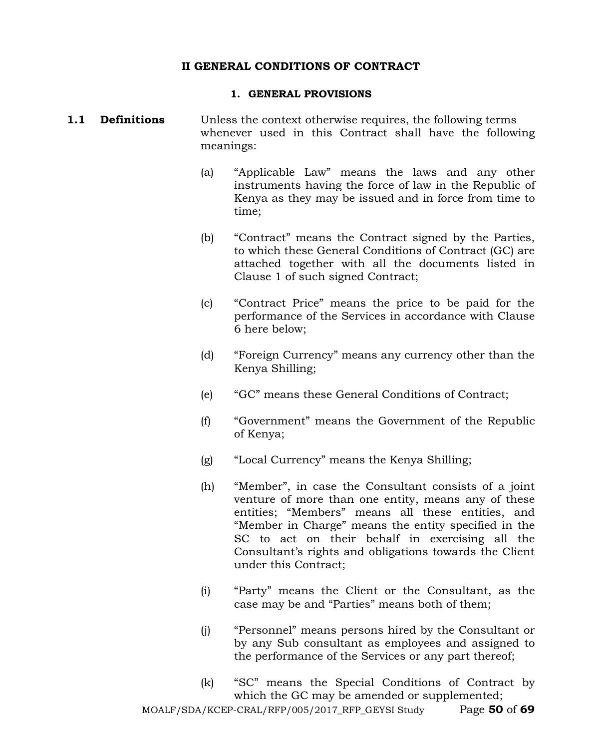#### **II GENERAL CONDITIONS OF CONTRACT**

#### **1. GENERAL PROVISIONS**

#### **1.1 Definitions** Unless the context otherwise requires, the following terms whenever used in this Contract shall have the following meanings:

- (a) "Applicable Law" means the laws and any other instruments having the force of law in the Republic of Kenya as they may be issued and in force from time to time;
- (b) "Contract" means the Contract signed by the Parties, to which these General Conditions of Contract (GC) are attached together with all the documents listed in Clause 1 of such signed Contract;
- (c) "Contract Price" means the price to be paid for the performance of the Services in accordance with Clause 6 here below;
- (d) "Foreign Currency" means any currency other than the Kenya Shilling;
- (e) "GC" means these General Conditions of Contract;
- (f) "Government" means the Government of the Republic of Kenya;
- (g) "Local Currency" means the Kenya Shilling;
- (h) "Member", in case the Consultant consists of a joint venture of more than one entity, means any of these entities; "Members" means all these entities, and "Member in Charge" means the entity specified in the SC to act on their behalf in exercising all the Consultant's rights and obligations towards the Client under this Contract;
- (i) "Party" means the Client or the Consultant, as the case may be and "Parties" means both of them;
- (j) "Personnel" means persons hired by the Consultant or by any Sub consultant as employees and assigned to the performance of the Services or any part thereof;
- (k) "SC" means the Special Conditions of Contract by which the GC may be amended or supplemented;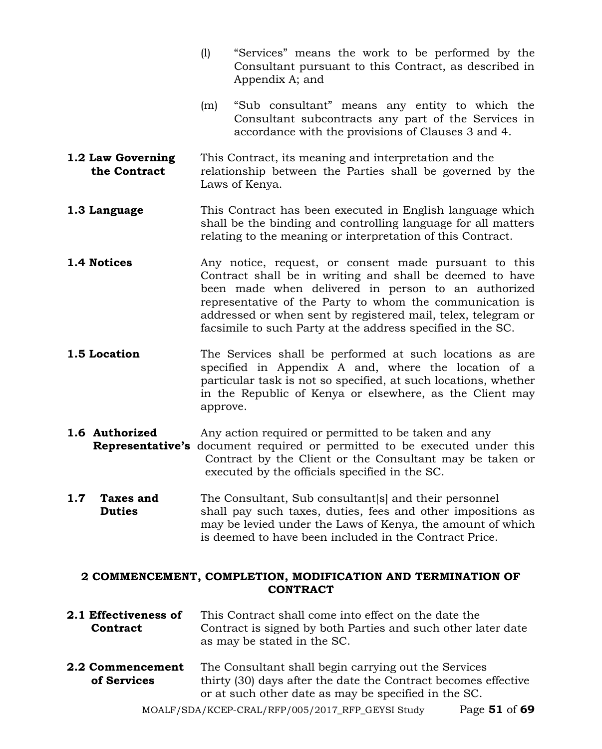- (l) "Services" means the work to be performed by the Consultant pursuant to this Contract, as described in Appendix A; and
- (m) "Sub consultant" means any entity to which the Consultant subcontracts any part of the Services in accordance with the provisions of Clauses 3 and 4.
- **1.2 Law Governing** This Contract, its meaning and interpretation and the **the Contract** relationship between the Parties shall be governed by the Laws of Kenya.
- **1.3 Language** This Contract has been executed in English language which shall be the binding and controlling language for all matters relating to the meaning or interpretation of this Contract.
- **1.4 Notices** Any notice, request, or consent made pursuant to this Contract shall be in writing and shall be deemed to have been made when delivered in person to an authorized representative of the Party to whom the communication is addressed or when sent by registered mail, telex, telegram or facsimile to such Party at the address specified in the SC.
- **1.5 Location** The Services shall be performed at such locations as are specified in Appendix A and, where the location of a particular task is not so specified, at such locations, whether in the Republic of Kenya or elsewhere, as the Client may approve.
- **1.6 Authorized** Any action required or permitted to be taken and any **Representative's** document required or permitted to be executed under this Contract by the Client or the Consultant may be taken or executed by the officials specified in the SC.
- **1.7 Taxes and** The Consultant, Sub consultant s and their personnel **Duties** shall pay such taxes, duties, fees and other impositions as may be levied under the Laws of Kenya, the amount of which is deemed to have been included in the Contract Price.

#### **2 COMMENCEMENT, COMPLETION, MODIFICATION AND TERMINATION OF CONTRACT**

- **2.1 Effectiveness of** This Contract shall come into effect on the date the **Contract** Contract is signed by both Parties and such other later date as may be stated in the SC.
- **2.2 Commencement** The Consultant shall begin carrying out the Services **of Services** thirty (30) days after the date the Contract becomes effective or at such other date as may be specified in the SC.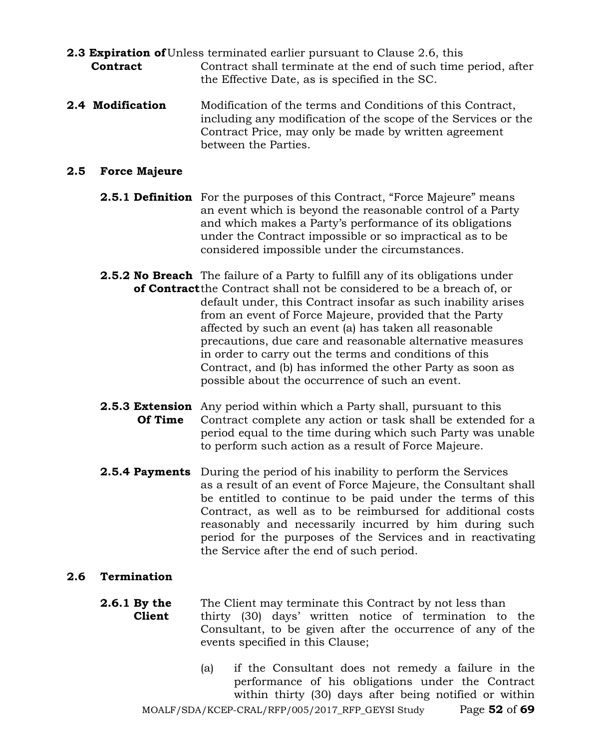- **2.3 Expiration of** Unless terminated earlier pursuant to Clause 2.6, this **Contract** Contract shall terminate at the end of such time period, after the Effective Date, as is specified in the SC.
- **2.4 Modification** Modification of the terms and Conditions of this Contract, including any modification of the scope of the Services or the Contract Price, may only be made by written agreement between the Parties.

#### **2.5 Force Majeure**

- **2.5.1 Definition** For the purposes of this Contract, "Force Majeure" means an event which is beyond the reasonable control of a Party and which makes a Party's performance of its obligations under the Contract impossible or so impractical as to be considered impossible under the circumstances.
- **2.5.2 No Breach** The failure of a Party to fulfill any of its obligations under **of Contract**the Contract shall not be considered to be a breach of, or default under, this Contract insofar as such inability arises from an event of Force Majeure, provided that the Party affected by such an event (a) has taken all reasonable precautions, due care and reasonable alternative measures in order to carry out the terms and conditions of this Contract, and (b) has informed the other Party as soon as possible about the occurrence of such an event.
- **2.5.3 Extension** Any period within which a Party shall, pursuant to this **Of Time** Contract complete any action or task shall be extended for a period equal to the time during which such Party was unable to perform such action as a result of Force Majeure.
- **2.5.4 Payments** During the period of his inability to perform the Services as a result of an event of Force Majeure, the Consultant shall be entitled to continue to be paid under the terms of this Contract, as well as to be reimbursed for additional costs reasonably and necessarily incurred by him during such period for the purposes of the Services and in reactivating the Service after the end of such period.

#### **2.6 Termination**

- **2.6.1 By the** The Client may terminate this Contract by not less than **Client** thirty (30) days' written notice of termination to the Consultant, to be given after the occurrence of any of the events specified in this Clause;
	- MOALF/SDA/KCEP-CRAL/RFP/005/2017\_RFP\_GEYSI Study Page **52** of **69** (a) if the Consultant does not remedy a failure in the performance of his obligations under the Contract within thirty (30) days after being notified or within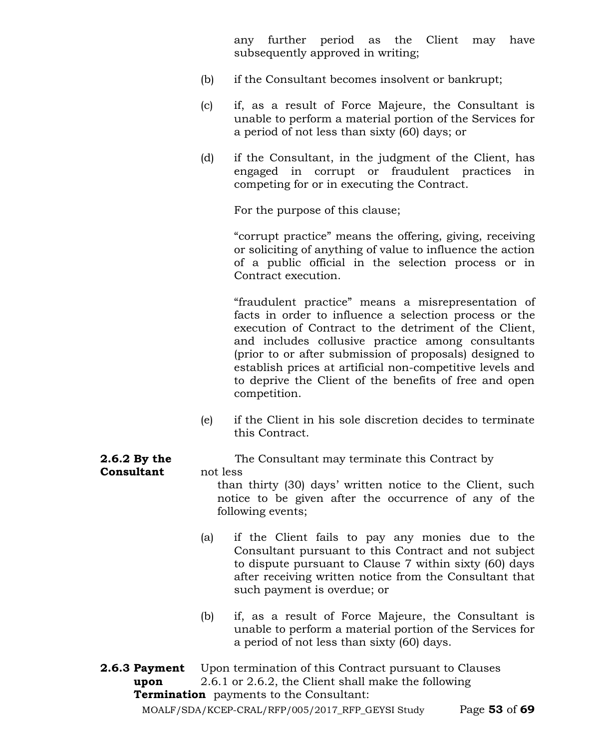any further period as the Client may have subsequently approved in writing;

- (b) if the Consultant becomes insolvent or bankrupt;
- (c) if, as a result of Force Majeure, the Consultant is unable to perform a material portion of the Services for a period of not less than sixty (60) days; or
- (d) if the Consultant, in the judgment of the Client, has engaged in corrupt or fraudulent practices in competing for or in executing the Contract.

For the purpose of this clause;

"corrupt practice" means the offering, giving, receiving or soliciting of anything of value to influence the action of a public official in the selection process or in Contract execution.

"fraudulent practice" means a misrepresentation of facts in order to influence a selection process or the execution of Contract to the detriment of the Client, and includes collusive practice among consultants (prior to or after submission of proposals) designed to establish prices at artificial non-competitive levels and to deprive the Client of the benefits of free and open competition.

(e) if the Client in his sole discretion decides to terminate this Contract.

**2.6.2 By the The Consultant may terminate this Contract by** 

than thirty (30) days' written notice to the Client, such notice to be given after the occurrence of any of the following events;

- (a) if the Client fails to pay any monies due to the Consultant pursuant to this Contract and not subject to dispute pursuant to Clause 7 within sixty (60) days after receiving written notice from the Consultant that such payment is overdue; or
- (b) if, as a result of Force Majeure, the Consultant is unable to perform a material portion of the Services for a period of not less than sixty (60) days.
- MOALF/SDA/KCEP-CRAL/RFP/005/2017\_RFP\_GEYSI Study Page **53** of **69 2.6.3 Payment** Upon termination of this Contract pursuant to Clauses **upon** 2.6.1 or 2.6.2, the Client shall make the following **Termination** payments to the Consultant:

**Consultant** not less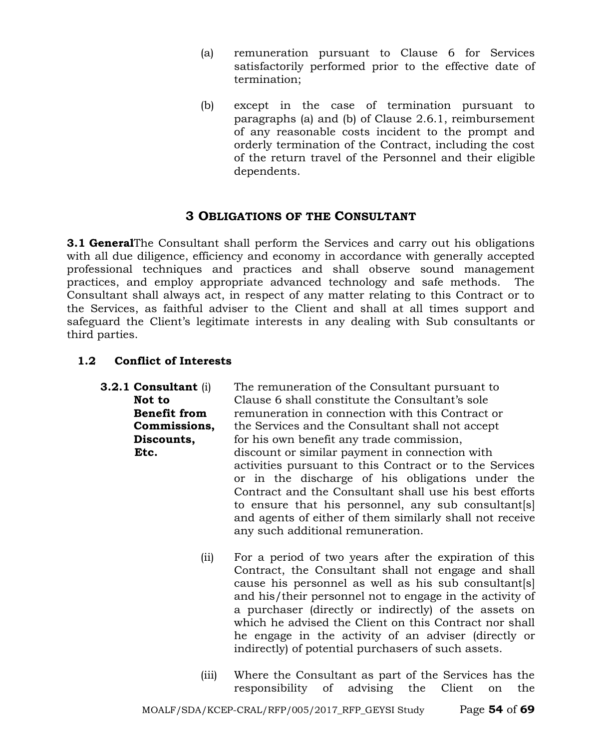- (a) remuneration pursuant to Clause 6 for Services satisfactorily performed prior to the effective date of termination;
- (b) except in the case of termination pursuant to paragraphs (a) and (b) of Clause 2.6.1, reimbursement of any reasonable costs incident to the prompt and orderly termination of the Contract, including the cost of the return travel of the Personnel and their eligible dependents.

# **3 OBLIGATIONS OF THE CONSULTANT**

**3.1 General**The Consultant shall perform the Services and carry out his obligations with all due diligence, efficiency and economy in accordance with generally accepted professional techniques and practices and shall observe sound management practices, and employ appropriate advanced technology and safe methods. The Consultant shall always act, in respect of any matter relating to this Contract or to the Services, as faithful adviser to the Client and shall at all times support and safeguard the Client's legitimate interests in any dealing with Sub consultants or third parties.

# **1.2 Conflict of Interests**

| 3.2.1 Consultant (i) | The remuneration of the Consultant pursuant to           |  |  |  |  |
|----------------------|----------------------------------------------------------|--|--|--|--|
| Not to               | Clause 6 shall constitute the Consultant's sole          |  |  |  |  |
| <b>Benefit from</b>  | remuneration in connection with this Contract or         |  |  |  |  |
| Commissions,         | the Services and the Consultant shall not accept         |  |  |  |  |
| Discounts,           | for his own benefit any trade commission,                |  |  |  |  |
| Etc.                 | discount or similar payment in connection with           |  |  |  |  |
|                      | activities pursuant to this Contract or to the Services  |  |  |  |  |
|                      | or in the discharge of his obligations under the         |  |  |  |  |
|                      | Contract and the Consultant shall use his best efforts   |  |  |  |  |
|                      | to ensure that his personnel, any sub consultant[s]      |  |  |  |  |
|                      | and agents of either of them similarly shall not receive |  |  |  |  |
|                      | any such additional remuneration.                        |  |  |  |  |
|                      |                                                          |  |  |  |  |

- (ii) For a period of two years after the expiration of this Contract, the Consultant shall not engage and shall cause his personnel as well as his sub consultant[s] and his/their personnel not to engage in the activity of a purchaser (directly or indirectly) of the assets on which he advised the Client on this Contract nor shall he engage in the activity of an adviser (directly or indirectly) of potential purchasers of such assets.
- (iii) Where the Consultant as part of the Services has the responsibility of advising the Client on the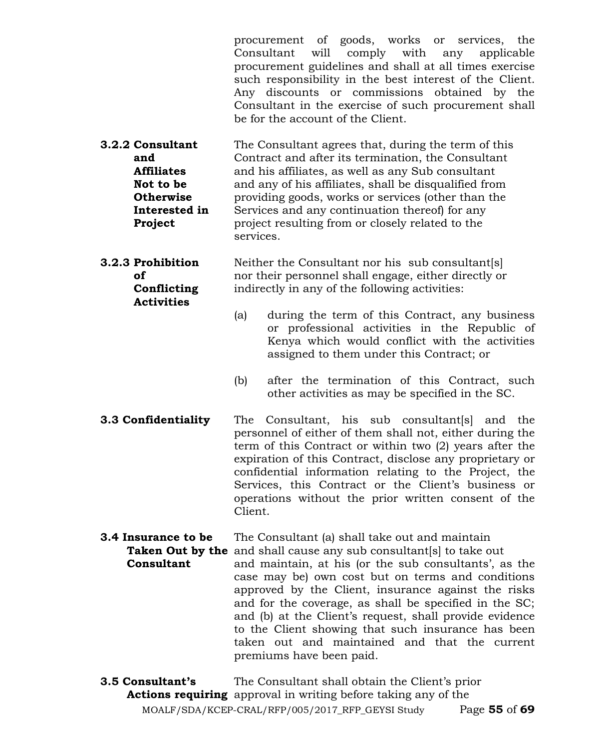procurement of goods, works or services, the Consultant will comply with any applicable procurement guidelines and shall at all times exercise such responsibility in the best interest of the Client. Any discounts or commissions obtained by the Consultant in the exercise of such procurement shall be for the account of the Client.

- **3.2.2 Consultant** The Consultant agrees that, during the term of this **and** Contract and after its termination, the Consultant **Affiliates** and his affiliates, as well as any Sub consultant **Not to be** and any of his affiliates, shall be disqualified from **Otherwise** providing goods, works or services (other than the **Interested in** Services and any continuation thereof) for any **Project** project resulting from or closely related to the services.
- **3.2.3 Prohibition** Neither the Consultant nor his sub consultant[s] **of** *of* nor their personnel shall engage, either directly or **Conflicting** indirectly in any of the following activities: **Activities**
	- (a) during the term of this Contract, any business or professional activities in the Republic of Kenya which would conflict with the activities assigned to them under this Contract; or
	- (b) after the termination of this Contract, such other activities as may be specified in the SC.
- **3.3 Confidentiality** The Consultant, his sub consultant[s] and the personnel of either of them shall not, either during the term of this Contract or within two (2) years after the expiration of this Contract, disclose any proprietary or confidential information relating to the Project, the Services, this Contract or the Client's business or operations without the prior written consent of the Client.
- **3.4 Insurance to be** The Consultant (a) shall take out and maintain **Taken Out by the** and shall cause any sub consultant[s] to take out **Consultant** and maintain, at his (or the sub consultants', as the case may be) own cost but on terms and conditions approved by the Client, insurance against the risks and for the coverage, as shall be specified in the SC; and (b) at the Client's request, shall provide evidence to the Client showing that such insurance has been taken out and maintained and that the current premiums have been paid.

MOALF/SDA/KCEP-CRAL/RFP/005/2017\_RFP\_GEYSI Study Page **55** of **69 3.5 Consultant's** The Consultant shall obtain the Client's prior  **Actions requiring** approval in writing before taking any of the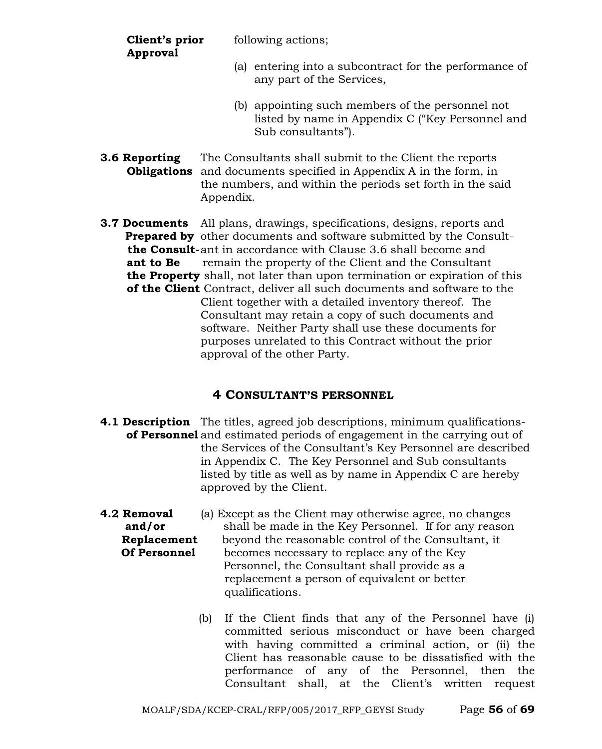**Approval**

**Client's prior** following actions;

- (a) entering into a subcontract for the performance of any part of the Services,
- (b) appointing such members of the personnel not listed by name in Appendix C ("Key Personnel and Sub consultants").
- **3.6 Reporting** The Consultants shall submit to the Client the reports  **Obligations** and documents specified in Appendix A in the form, in the numbers, and within the periods set forth in the said Appendix.
- **3.7 Documents** All plans, drawings, specifications, designs, reports and **Prepared by** other documents and software submitted by the Consult  **the Consult-**ant in accordance with Clause 3.6 shall become and **ant to Be** remain the property of the Client and the Consultant  **the Property** shall, not later than upon termination or expiration of this  **of the Client** Contract, deliver all such documents and software to the Client together with a detailed inventory thereof. The Consultant may retain a copy of such documents and software. Neither Party shall use these documents for purposes unrelated to this Contract without the prior approval of the other Party.

# **4 CONSULTANT'S PERSONNEL**

- **4.1 Description** The titles, agreed job descriptions, minimum qualifications**of Personnel** and estimated periods of engagement in the carrying out of the Services of the Consultant's Key Personnel are described in Appendix C. The Key Personnel and Sub consultants listed by title as well as by name in Appendix C are hereby approved by the Client.
- **4.2 Removal** (a) Except as the Client may otherwise agree, no changes **and/or** shall be made in the Key Personnel. If for any reason **Replacement** beyond the reasonable control of the Consultant, it **Of Personnel** becomes necessary to replace any of the Key Personnel, the Consultant shall provide as a replacement a person of equivalent or better qualifications.
	- (b) If the Client finds that any of the Personnel have (i) committed serious misconduct or have been charged with having committed a criminal action, or (ii) the Client has reasonable cause to be dissatisfied with the performance of any of the Personnel, then the Consultant shall, at the Client's written request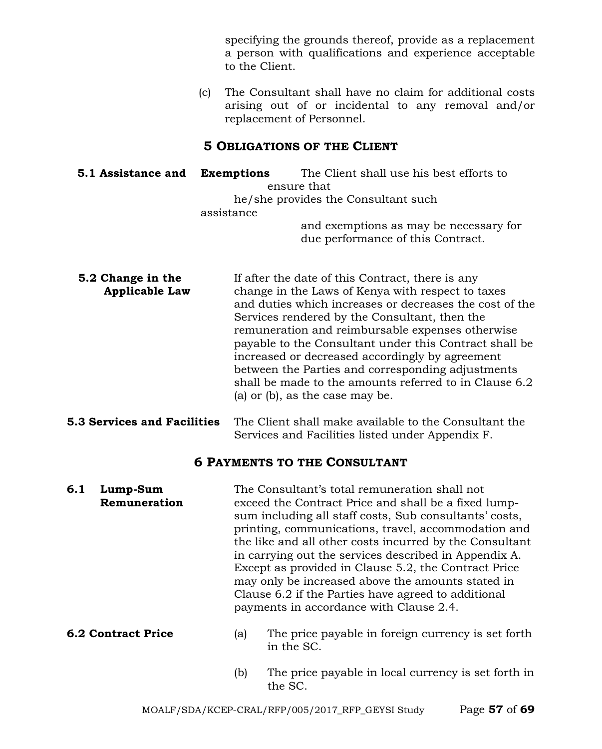specifying the grounds thereof, provide as a replacement a person with qualifications and experience acceptable to the Client.

(c) The Consultant shall have no claim for additional costs arising out of or incidental to any removal and/or replacement of Personnel.

#### **5 OBLIGATIONS OF THE CLIENT**

**5.1 Assistance and Exemptions** The Client shall use his best efforts to ensure that he/she provides the Consultant such assistance and exemptions as may be necessary for due performance of this Contract.

- **5.2 Change in the** If after the date of this Contract, there is any **Applicable Law** change in the Laws of Kenya with respect to taxes and duties which increases or decreases the cost of the Services rendered by the Consultant, then the remuneration and reimbursable expenses otherwise payable to the Consultant under this Contract shall be increased or decreased accordingly by agreement between the Parties and corresponding adjustments shall be made to the amounts referred to in Clause 6.2 (a) or (b), as the case may be.
- **5.3 Services and Facilities** The Client shall make available to the Consultant the Services and Facilities listed under Appendix F.

# **6 PAYMENTS TO THE CONSULTANT**

- **6.1 Lump-Sum** The Consultant's total remuneration shall not **Remuneration** exceed the Contract Price and shall be a fixed lumpsum including all staff costs, Sub consultants' costs, printing, communications, travel, accommodation and the like and all other costs incurred by the Consultant in carrying out the services described in Appendix A. Except as provided in Clause 5.2, the Contract Price may only be increased above the amounts stated in Clause 6.2 if the Parties have agreed to additional payments in accordance with Clause 2.4.
- **6.2 Contract Price** (a) The price payable in foreign currency is set forth in the SC.
	- (b) The price payable in local currency is set forth in the SC.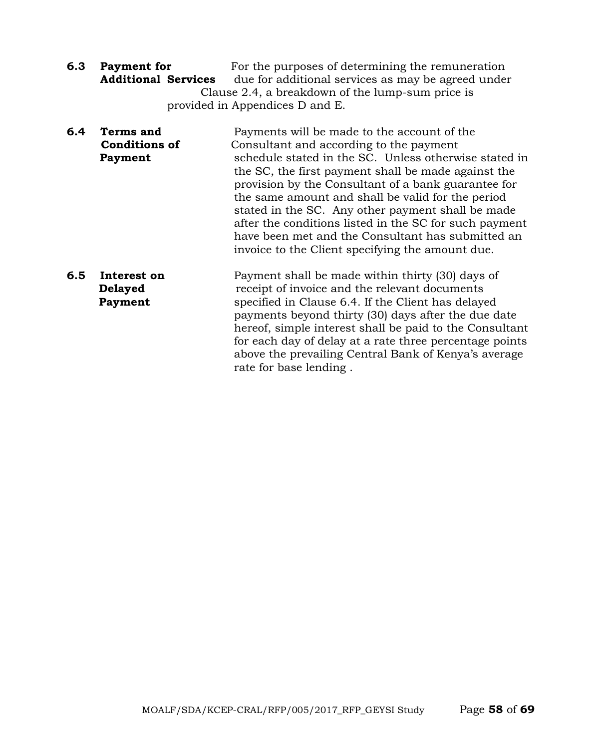- **6.3 Payment for** For the purposes of determining the remuneration **Additional Services** due for additional services as may be agreed under Clause 2.4, a breakdown of the lump-sum price is provided in Appendices D and E.
- **6.4 Terms and** Payments will be made to the account of the **Conditions of** Consultant and according to the payment **Payment** schedule stated in the SC. Unless otherwise stated in the SC, the first payment shall be made against the provision by the Consultant of a bank guarantee for the same amount and shall be valid for the period stated in the SC. Any other payment shall be made after the conditions listed in the SC for such payment have been met and the Consultant has submitted an invoice to the Client specifying the amount due.
- **6.5 Interest on** Payment shall be made within thirty (30) days of **Delayed receipt of invoice and the relevant documents Payment** specified in Clause 6.4. If the Client has delayed payments beyond thirty (30) days after the due date hereof, simple interest shall be paid to the Consultant for each day of delay at a rate three percentage points above the prevailing Central Bank of Kenya's average rate for base lending .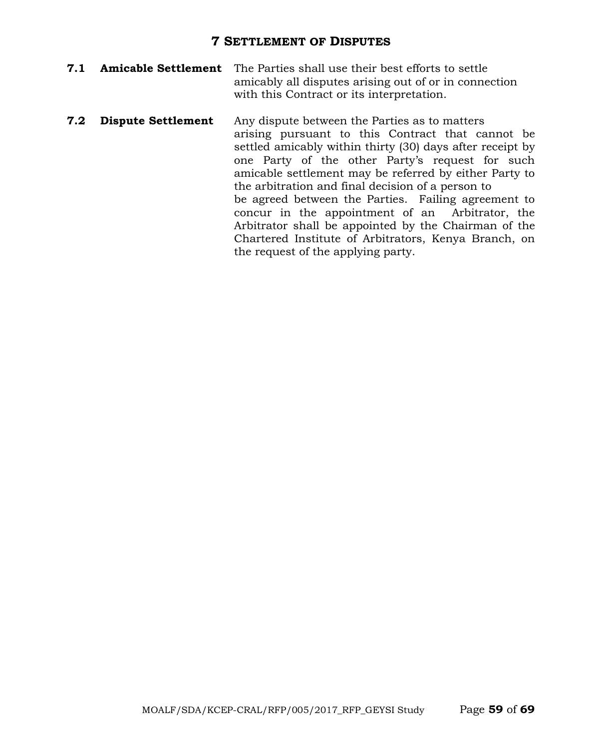#### **7 SETTLEMENT OF DISPUTES**

- **7.1 Amicable Settlement** The Parties shall use their best efforts to settle amicably all disputes arising out of or in connection with this Contract or its interpretation.
- **7.2 Dispute Settlement** Any dispute between the Parties as to matters arising pursuant to this Contract that cannot be settled amicably within thirty (30) days after receipt by one Party of the other Party's request for such amicable settlement may be referred by either Party to the arbitration and final decision of a person to be agreed between the Parties. Failing agreement to concur in the appointment of an Arbitrator, the Arbitrator shall be appointed by the Chairman of the Chartered Institute of Arbitrators, Kenya Branch, on the request of the applying party.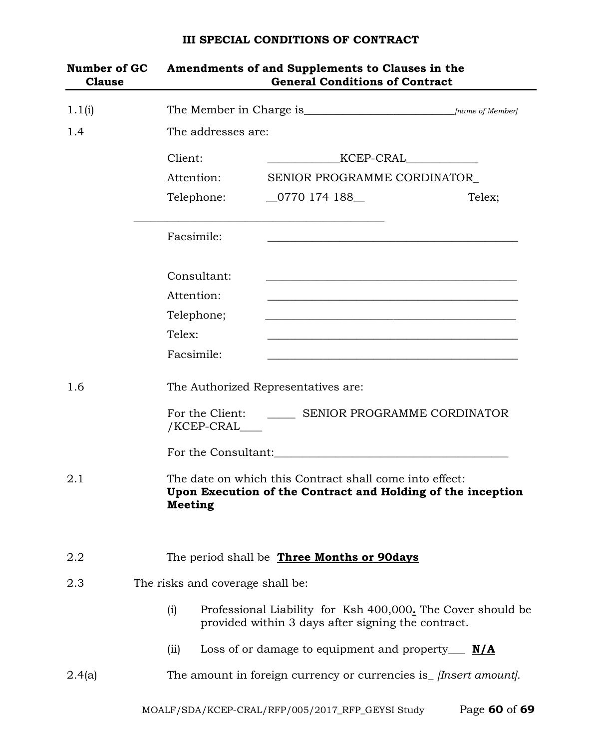# MOALF/SDA/KCEP-CRAL/RFP/005/2017\_RFP\_GEYSI Study Page **60** of **69 Number of GC Amendments of and Supplements to Clauses in the Clause General Conditions of Contract** 1.1(i) The Member in Charge is\_\_\_\_\_\_\_\_\_\_\_\_\_\_\_\_\_\_\_\_\_\_\_\_\_\_\_*[name of Member]* 1.4 The addresses are: Client: \_\_\_\_\_\_\_\_\_\_\_\_\_KCEP-CRAL\_\_\_\_\_\_\_\_\_\_\_\_\_ Attention: SENIOR PROGRAMME CORDINATOR Telephone: 0770 174 188 Telex; \_\_\_\_\_\_\_\_\_\_\_\_\_\_\_\_\_\_\_\_\_\_\_\_\_\_\_\_\_\_\_\_\_\_\_\_\_\_\_\_\_\_\_\_\_ Facsimile: Consultant: Attention: Telephone; Telex: \_\_\_\_\_\_\_\_\_\_\_\_\_\_\_\_\_\_\_\_\_\_\_\_\_\_\_\_\_\_\_\_\_\_\_\_\_\_\_\_\_\_\_\_\_ Facsimile: 1.6 The Authorized Representatives are: For the Client: SENIOR PROGRAMME CORDINATOR /KCEP-CRAL\_\_\_\_ For the Consultant: 2.1 The date on which this Contract shall come into effect: **Upon Execution of the Contract and Holding of the inception Meeting** 2.2 The period shall be **Three Months or 90days** 2.3 The risks and coverage shall be: (i) Professional Liability for Ksh 400,000**.** The Cover should be provided within 3 days after signing the contract. (ii) Loss of or damage to equipment and property\_\_\_ **N/A** 2.4(a) The amount in foreign currency or currencies is\_ *[Insert amount].*

#### **III SPECIAL CONDITIONS OF CONTRACT**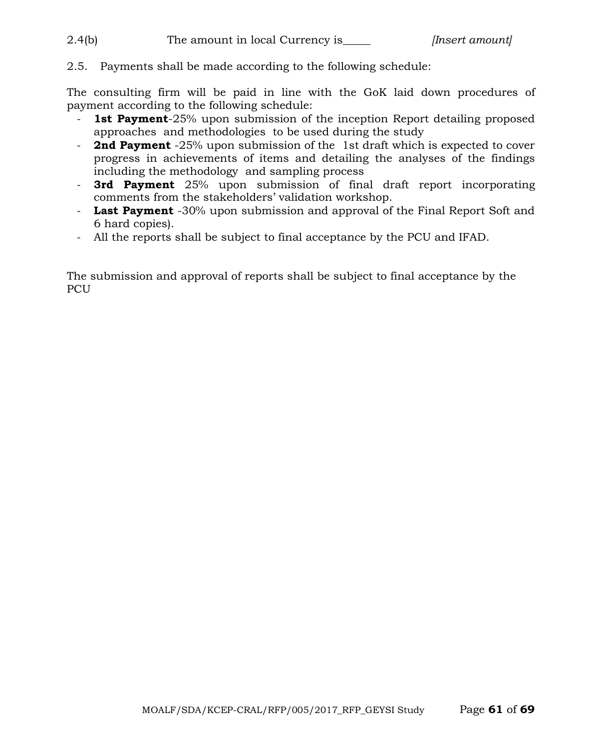2.4(b) The amount in local Currency is\_\_\_\_\_ *[Insert amount]*

2.5. Payments shall be made according to the following schedule:

The consulting firm will be paid in line with the GoK laid down procedures of payment according to the following schedule:

- **1st Payment**-25% upon submission of the inception Report detailing proposed approaches and methodologies to be used during the study
- **2nd Payment** -25% upon submission of the 1st draft which is expected to cover progress in achievements of items and detailing the analyses of the findings including the methodology and sampling process
- **3rd Payment** 25% upon submission of final draft report incorporating comments from the stakeholders' validation workshop.
- **Last Payment** -30% upon submission and approval of the Final Report Soft and 6 hard copies).
- All the reports shall be subject to final acceptance by the PCU and IFAD.

The submission and approval of reports shall be subject to final acceptance by the PCU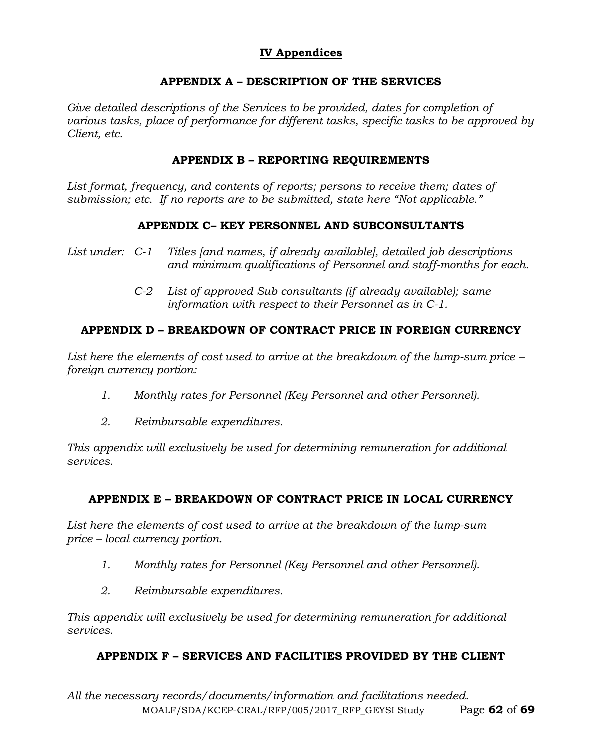# **IV Appendices**

# **APPENDIX A – DESCRIPTION OF THE SERVICES**

Give detailed descriptions of the Services to be provided, dates for completion of *various tasks, place of performance for different tasks, specific tasks to be approved by Client, etc.*

#### **APPENDIX B – REPORTING REQUIREMENTS**

*List format, frequency, and contents of reports; persons to receive them; dates of submission; etc. If no reports are to be submitted, state here "Not applicable."*

#### **APPENDIX C– KEY PERSONNEL AND SUBCONSULTANTS**

- *List under: C-1 Titles [and names, if already available], detailed job descriptions and minimum qualifications of Personnel and staff-months for each.*
	- *C-2 List of approved Sub consultants (if already available); same information with respect to their Personnel as in C-1.*

# **APPENDIX D – BREAKDOWN OF CONTRACT PRICE IN FOREIGN CURRENCY**

*List here the elements of cost used to arrive at the breakdown of the lump-sum price – foreign currency portion:*

- *1. Monthly rates for Personnel (Key Personnel and other Personnel).*
- *2. Reimbursable expenditures.*

*This appendix will exclusively be used for determining remuneration for additional services.*

# **APPENDIX E – BREAKDOWN OF CONTRACT PRICE IN LOCAL CURRENCY**

*List here the elements of cost used to arrive at the breakdown of the lump-sum price – local currency portion.*

- *1. Monthly rates for Personnel (Key Personnel and other Personnel).*
- *2. Reimbursable expenditures.*

*This appendix will exclusively be used for determining remuneration for additional services.*

# **APPENDIX F – SERVICES AND FACILITIES PROVIDED BY THE CLIENT**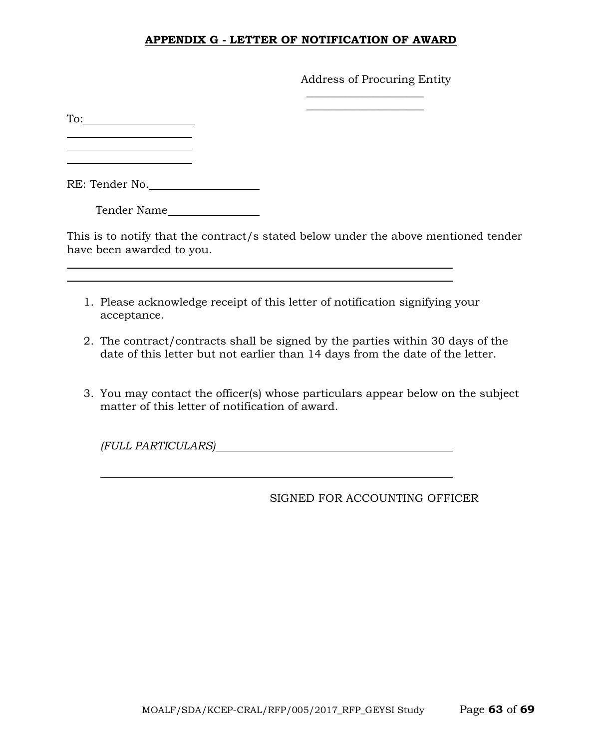#### **APPENDIX G - LETTER OF NOTIFICATION OF AWARD**

Address of Procuring Entity

 $\overline{\phantom{a}}$  , where  $\overline{\phantom{a}}$  , where  $\overline{\phantom{a}}$  $\overline{\phantom{a}}$  , where  $\overline{\phantom{a}}$  , where  $\overline{\phantom{a}}$  , where  $\overline{\phantom{a}}$ 

To:

<u> 1990 - Johann Barbara, martin a</u>

RE: Tender No.

Tender Name

This is to notify that the contract/s stated below under the above mentioned tender have been awarded to you.

- 1. Please acknowledge receipt of this letter of notification signifying your acceptance.
- 2. The contract/contracts shall be signed by the parties within 30 days of the date of this letter but not earlier than 14 days from the date of the letter.
- 3. You may contact the officer(s) whose particulars appear below on the subject matter of this letter of notification of award.

*(FULL PARTICULARS)*

SIGNED FOR ACCOUNTING OFFICER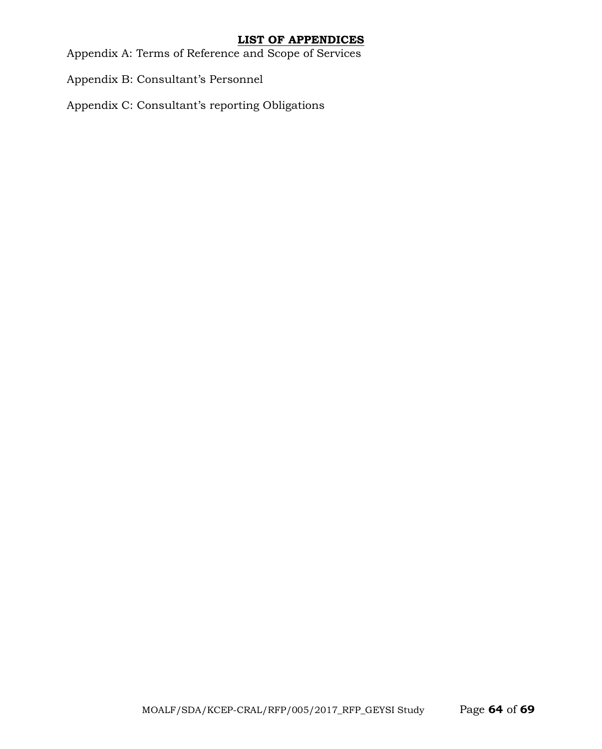#### **LIST OF APPENDICES**

Appendix A: Terms of Reference and Scope of Services

Appendix B: Consultant's Personnel

Appendix C: Consultant's reporting Obligations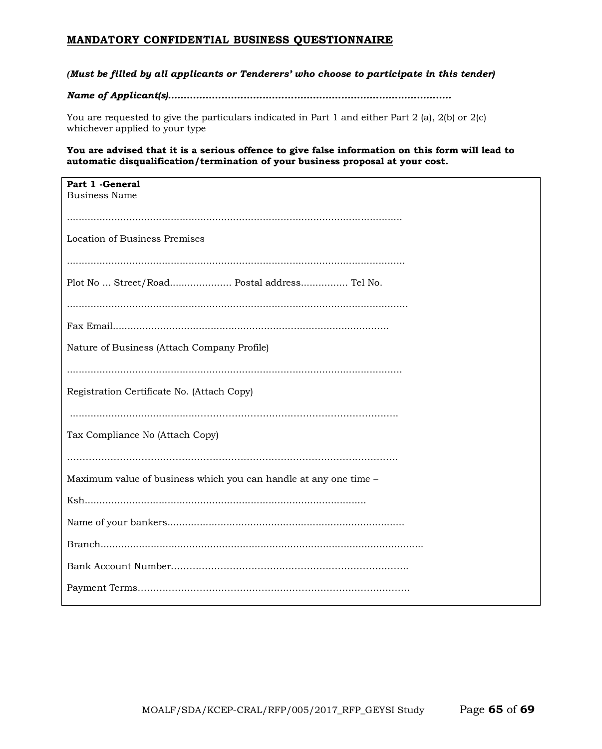#### **MANDATORY CONFIDENTIAL BUSINESS QUESTIONNAIRE**

#### *(Must be filled by all applicants or Tenderers' who choose to participate in this tender)*

#### *Name of Applicant(s)..........................................................................................*

You are requested to give the particulars indicated in Part 1 and either Part 2 (a), 2(b) or 2(c) whichever applied to your type

#### **You are advised that it is a serious offence to give false information on this form will lead to automatic disqualification/termination of your business proposal at your cost.**

| Part 1 - General<br><b>Business Name</b>                         |
|------------------------------------------------------------------|
|                                                                  |
| Location of Business Premises                                    |
|                                                                  |
| Plot No  Street/Road Postal address Tel No.                      |
|                                                                  |
|                                                                  |
| Nature of Business (Attach Company Profile)                      |
|                                                                  |
| Registration Certificate No. (Attach Copy)                       |
|                                                                  |
| Tax Compliance No (Attach Copy)                                  |
|                                                                  |
| Maximum value of business which you can handle at any one time - |
|                                                                  |
|                                                                  |
|                                                                  |
|                                                                  |
|                                                                  |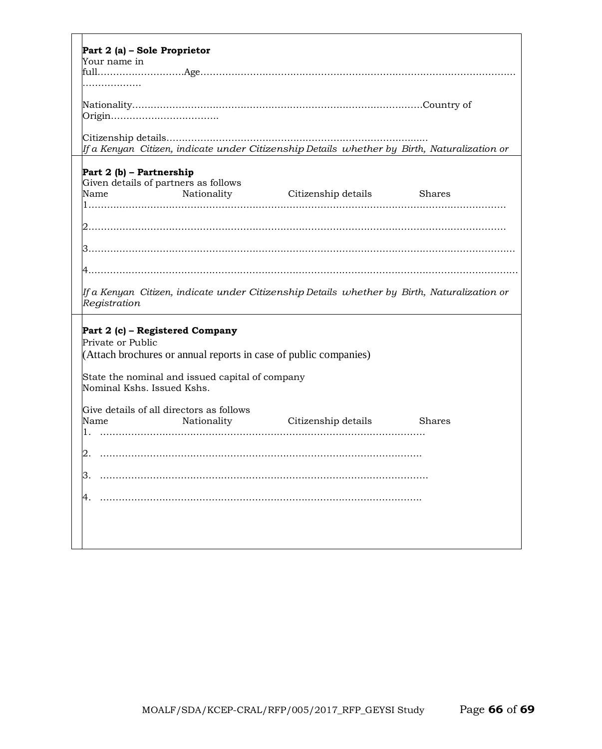| Part 2 (a) - Sole Proprietor                                                                                                                                                |
|-----------------------------------------------------------------------------------------------------------------------------------------------------------------------------|
| Your name in                                                                                                                                                                |
| $\text{full}.\dots\dots\dots\text{Age}.\dots\dots\dots\dots\dots\dots\dots\dots\dots\dots$                                                                                  |
|                                                                                                                                                                             |
|                                                                                                                                                                             |
| If a Kenyan  Citizen, indicate under Citizenship Details  whether by  Birth, Naturalization or                                                                              |
| Part 2 (b) - Partnership<br>Given details of partners as follows<br>Nationality Citizenship details Shares<br>Name                                                          |
|                                                                                                                                                                             |
|                                                                                                                                                                             |
|                                                                                                                                                                             |
| lf a Kenyan  Citizen, indicate under Citizenship Details  whether by  Birth, Naturalization or<br>Registration                                                              |
| Part 2 (c) – Registered Company<br>Private or Public<br>(Attach brochures or annual reports in case of public companies)<br>State the nominal and issued capital of company |
| Nominal Kshs. Issued Kshs.                                                                                                                                                  |
| Give details of all directors as follows<br>Name<br>Nationality<br><b>Shares</b><br>Citizenship details<br>1.                                                               |
| $\cap$                                                                                                                                                                      |
|                                                                                                                                                                             |
|                                                                                                                                                                             |
|                                                                                                                                                                             |
|                                                                                                                                                                             |
|                                                                                                                                                                             |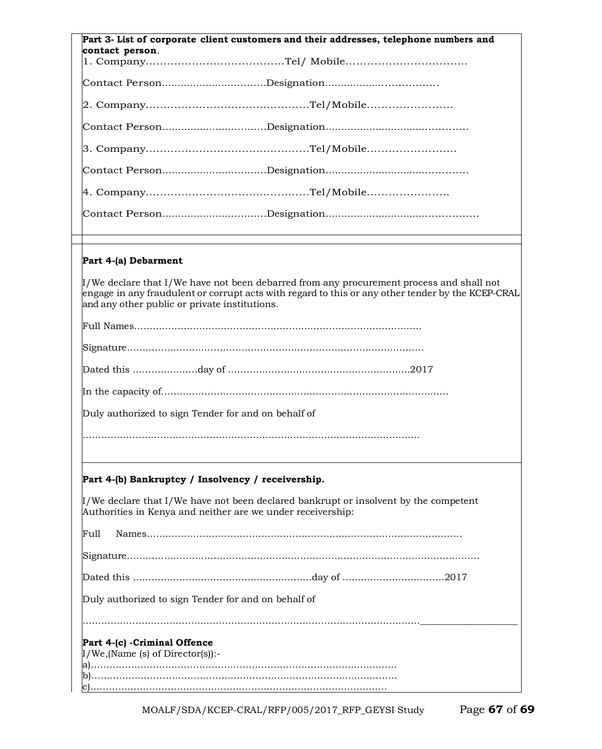| Part 3- List of corporate client customers and their addresses, telephone numbers and                                                                                                                                                                               |
|---------------------------------------------------------------------------------------------------------------------------------------------------------------------------------------------------------------------------------------------------------------------|
| contact person.                                                                                                                                                                                                                                                     |
|                                                                                                                                                                                                                                                                     |
|                                                                                                                                                                                                                                                                     |
|                                                                                                                                                                                                                                                                     |
|                                                                                                                                                                                                                                                                     |
|                                                                                                                                                                                                                                                                     |
|                                                                                                                                                                                                                                                                     |
|                                                                                                                                                                                                                                                                     |
|                                                                                                                                                                                                                                                                     |
| Part 4-(a) Debarment                                                                                                                                                                                                                                                |
| $\mathop{\llbracket}$ /We declare that I/We have not been debarred from any procurement process and shall not<br>engage in any fraudulent or corrupt acts with regard to this or any other tender by the KCEP-CRAL<br>and any other public or private institutions. |
|                                                                                                                                                                                                                                                                     |
|                                                                                                                                                                                                                                                                     |
|                                                                                                                                                                                                                                                                     |
|                                                                                                                                                                                                                                                                     |
| Duly authorized to sign Tender for and on behalf of                                                                                                                                                                                                                 |
|                                                                                                                                                                                                                                                                     |
|                                                                                                                                                                                                                                                                     |
| Part 4-(b) Bankruptcy / Insolvency / receivership.                                                                                                                                                                                                                  |
| $\mu$ /We declare that I/We have not been declared bankrupt or insolvent by the competent<br>Authorities in Kenya and neither are we under receivership:                                                                                                            |
| Full                                                                                                                                                                                                                                                                |
|                                                                                                                                                                                                                                                                     |
|                                                                                                                                                                                                                                                                     |
| Duly authorized to sign Tender for and on behalf of                                                                                                                                                                                                                 |
|                                                                                                                                                                                                                                                                     |
| Part 4-(c) - Criminal Offence                                                                                                                                                                                                                                       |
| $I/We$ , (Name (s) of Director(s)):-                                                                                                                                                                                                                                |
|                                                                                                                                                                                                                                                                     |

MOALF/SDA/KCEP-CRAL/RFP/005/2017\_RFP\_GEYSI Study Page **67** of **69**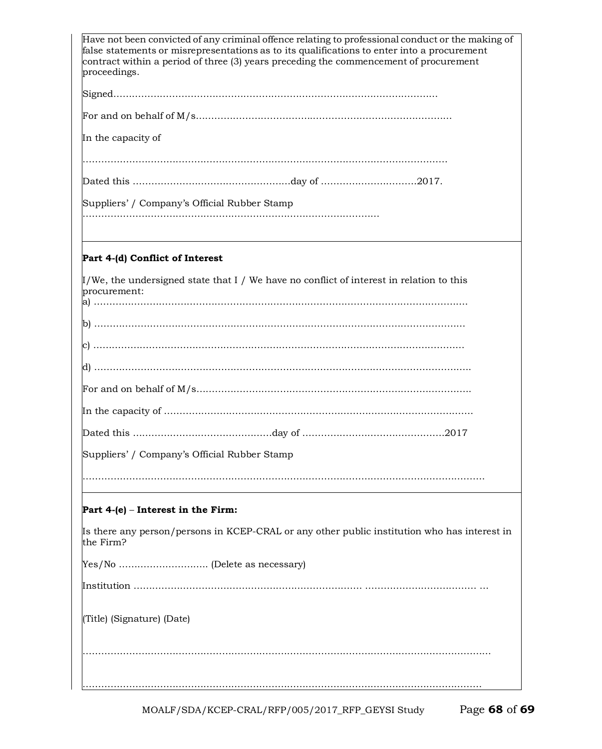| Have not been convicted of any criminal offence relating to professional conduct or the making of<br>false statements or misrepresentations as to its qualifications to enter into a procurement<br>contract within a period of three (3) years preceding the commencement of procurement<br>proceedings. |
|-----------------------------------------------------------------------------------------------------------------------------------------------------------------------------------------------------------------------------------------------------------------------------------------------------------|
|                                                                                                                                                                                                                                                                                                           |
|                                                                                                                                                                                                                                                                                                           |
| In the capacity of                                                                                                                                                                                                                                                                                        |
|                                                                                                                                                                                                                                                                                                           |
|                                                                                                                                                                                                                                                                                                           |
| Suppliers' / Company's Official Rubber Stamp                                                                                                                                                                                                                                                              |
|                                                                                                                                                                                                                                                                                                           |
|                                                                                                                                                                                                                                                                                                           |
| Part 4-(d) Conflict of Interest                                                                                                                                                                                                                                                                           |
| $\mu$ /We, the undersigned state that I / We have no conflict of interest in relation to this<br>procurement:                                                                                                                                                                                             |
|                                                                                                                                                                                                                                                                                                           |
|                                                                                                                                                                                                                                                                                                           |
|                                                                                                                                                                                                                                                                                                           |
|                                                                                                                                                                                                                                                                                                           |
|                                                                                                                                                                                                                                                                                                           |
|                                                                                                                                                                                                                                                                                                           |
| Suppliers' / Company's Official Rubber Stamp                                                                                                                                                                                                                                                              |
|                                                                                                                                                                                                                                                                                                           |
| Part $4-(e)$ – Interest in the Firm:                                                                                                                                                                                                                                                                      |
| Is there any person/persons in KCEP-CRAL or any other public institution who has interest in<br>the Firm?                                                                                                                                                                                                 |
|                                                                                                                                                                                                                                                                                                           |
|                                                                                                                                                                                                                                                                                                           |
| (Title) (Signature) (Date)                                                                                                                                                                                                                                                                                |
|                                                                                                                                                                                                                                                                                                           |
|                                                                                                                                                                                                                                                                                                           |